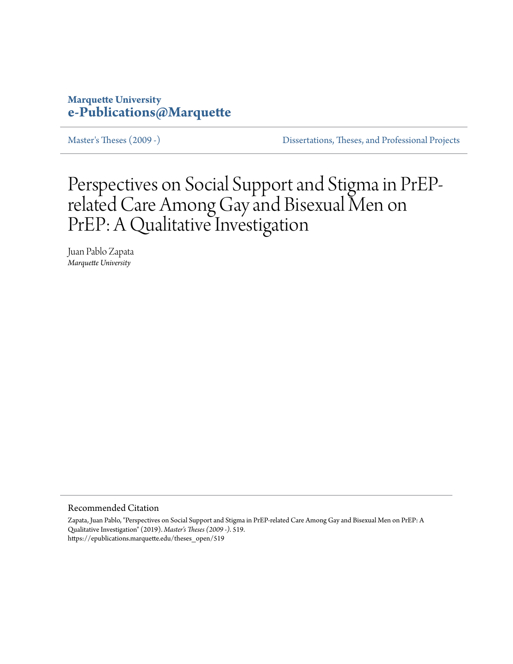# **Marquette University [e-Publications@Marquette](https://epublications.marquette.edu)**

[Master's Theses \(2009 -\)](https://epublications.marquette.edu/theses_open) [Dissertations, Theses, and Professional Projects](https://epublications.marquette.edu/diss_theses)

Perspectives on Social Support and Stigma in PrEPrelated Care Among Gay and Bisexual Men on PrEP: A Qualitative Investigation

Juan Pablo Zapata *Marquette University*

Recommended Citation

Zapata, Juan Pablo, "Perspectives on Social Support and Stigma in PrEP-related Care Among Gay and Bisexual Men on PrEP: A Qualitative Investigation" (2019). *Master's Theses (2009 -)*. 519. https://epublications.marquette.edu/theses\_open/519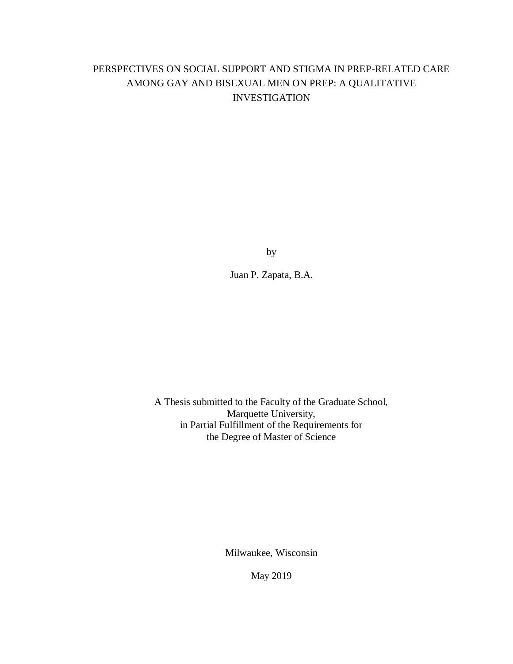# PERSPECTIVES ON SOCIAL SUPPORT AND STIGMA IN PREP-RELATED CARE AMONG GAY AND BISEXUAL MEN ON PREP: A QUALITATIVE INVESTIGATION

by

Juan P. Zapata, B.A.

A Thesis submitted to the Faculty of the Graduate School, Marquette University, in Partial Fulfillment of the Requirements for the Degree of Master of Science

Milwaukee, Wisconsin

May 2019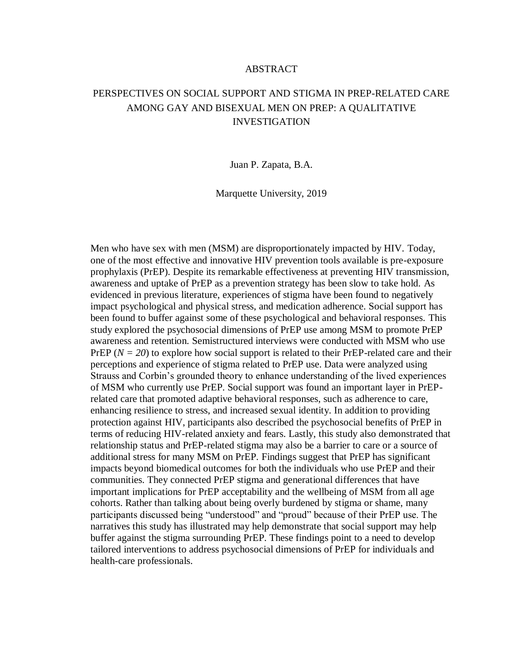# ABSTRACT

# PERSPECTIVES ON SOCIAL SUPPORT AND STIGMA IN PREP-RELATED CARE AMONG GAY AND BISEXUAL MEN ON PREP: A QUALITATIVE INVESTIGATION

Juan P. Zapata, B.A.

Marquette University, 2019

Men who have sex with men (MSM) are disproportionately impacted by HIV. Today, one of the most effective and innovative HIV prevention tools available is pre-exposure prophylaxis (PrEP). Despite its remarkable effectiveness at preventing HIV transmission, awareness and uptake of PrEP as a prevention strategy has been slow to take hold. As evidenced in previous literature, experiences of stigma have been found to negatively impact psychological and physical stress, and medication adherence. Social support has been found to buffer against some of these psychological and behavioral responses. This study explored the psychosocial dimensions of PrEP use among MSM to promote PrEP awareness and retention. Semistructured interviews were conducted with MSM who use PrEP ( $N = 20$ ) to explore how social support is related to their PrEP-related care and their perceptions and experience of stigma related to PrEP use. Data were analyzed using Strauss and Corbin's grounded theory to enhance understanding of the lived experiences of MSM who currently use PrEP. Social support was found an important layer in PrEPrelated care that promoted adaptive behavioral responses, such as adherence to care, enhancing resilience to stress, and increased sexual identity. In addition to providing protection against HIV, participants also described the psychosocial benefits of PrEP in terms of reducing HIV-related anxiety and fears. Lastly, this study also demonstrated that relationship status and PrEP-related stigma may also be a barrier to care or a source of additional stress for many MSM on PrEP. Findings suggest that PrEP has significant impacts beyond biomedical outcomes for both the individuals who use PrEP and their communities. They connected PrEP stigma and generational differences that have important implications for PrEP acceptability and the wellbeing of MSM from all age cohorts. Rather than talking about being overly burdened by stigma or shame, many participants discussed being "understood" and "proud" because of their PrEP use. The narratives this study has illustrated may help demonstrate that social support may help buffer against the stigma surrounding PrEP. These findings point to a need to develop tailored interventions to address psychosocial dimensions of PrEP for individuals and health-care professionals.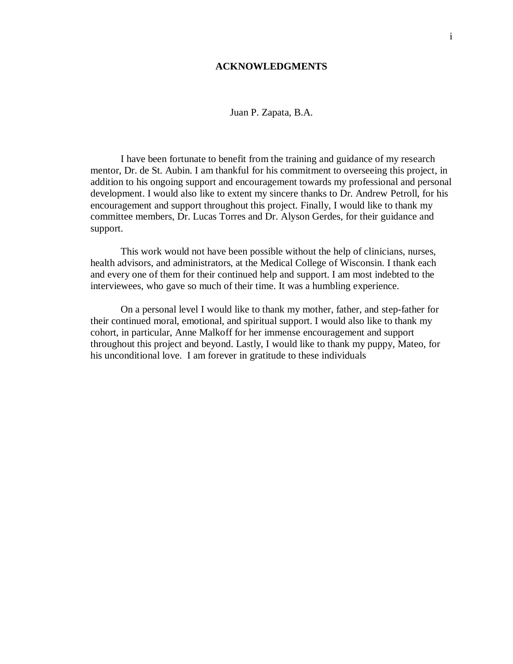## **ACKNOWLEDGMENTS**

Juan P. Zapata, B.A.

I have been fortunate to benefit from the training and guidance of my research mentor, Dr. de St. Aubin. I am thankful for his commitment to overseeing this project, in addition to his ongoing support and encouragement towards my professional and personal development. I would also like to extent my sincere thanks to Dr. Andrew Petroll, for his encouragement and support throughout this project. Finally, I would like to thank my committee members, Dr. Lucas Torres and Dr. Alyson Gerdes, for their guidance and support.

This work would not have been possible without the help of clinicians, nurses, health advisors, and administrators, at the Medical College of Wisconsin. I thank each and every one of them for their continued help and support. I am most indebted to the interviewees, who gave so much of their time. It was a humbling experience.

On a personal level I would like to thank my mother, father, and step-father for their continued moral, emotional, and spiritual support. I would also like to thank my cohort, in particular, Anne Malkoff for her immense encouragement and support throughout this project and beyond. Lastly, I would like to thank my puppy, Mateo, for his unconditional love. I am forever in gratitude to these individuals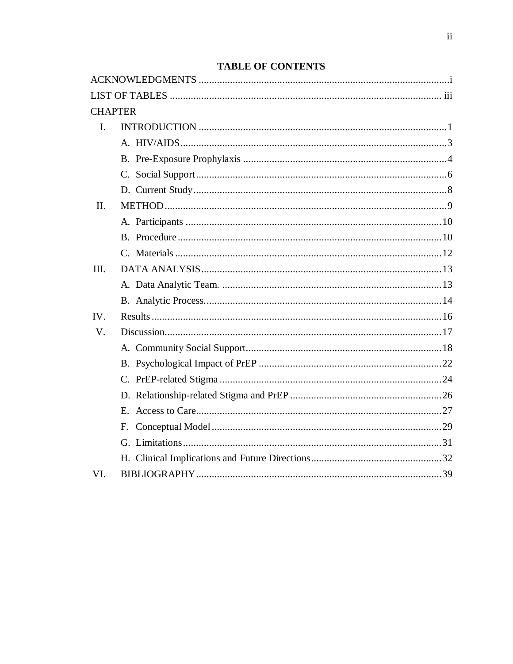| <b>CHAPTER</b> |  |
|----------------|--|
| L.             |  |
|                |  |
|                |  |
|                |  |
|                |  |
| II.            |  |
|                |  |
|                |  |
|                |  |
| III.           |  |
|                |  |
|                |  |
| IV.            |  |
| V.             |  |
|                |  |
|                |  |
|                |  |
|                |  |
|                |  |
|                |  |
|                |  |
|                |  |
| VI.            |  |

# **TABLE OF CONTENTS**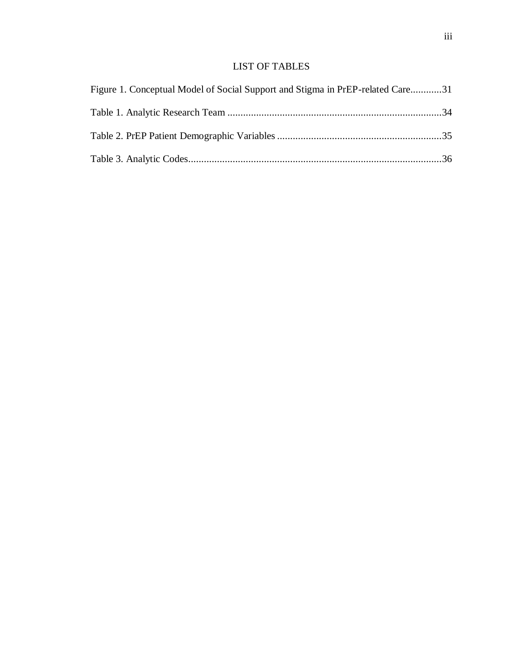# LIST OF TABLES

| Figure 1. Conceptual Model of Social Support and Stigma in PrEP-related Care31 |  |
|--------------------------------------------------------------------------------|--|
|                                                                                |  |
|                                                                                |  |
|                                                                                |  |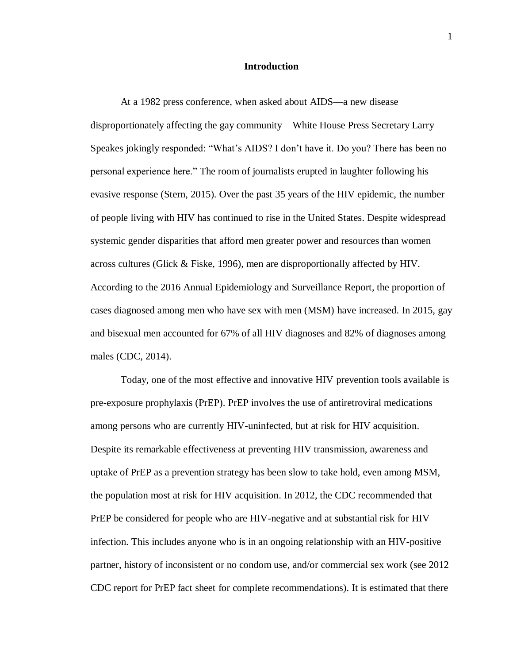## **Introduction**

At a 1982 press conference, when asked about AIDS—a new disease disproportionately affecting the gay community—White House Press Secretary Larry Speakes jokingly responded: "What's AIDS? I don't have it. Do you? There has been no personal experience here." The room of journalists erupted in laughter following his evasive response (Stern, 2015). Over the past 35 years of the HIV epidemic, the number of people living with HIV has continued to rise in the United States. Despite widespread systemic gender disparities that afford men greater power and resources than women across cultures (Glick & Fiske, 1996), men are disproportionally affected by HIV. According to the 2016 Annual Epidemiology and Surveillance Report, the proportion of cases diagnosed among men who have sex with men (MSM) have increased. In 2015, gay and bisexual men accounted for 67% of all HIV diagnoses and 82% of diagnoses among males (CDC, 2014).

Today, one of the most effective and innovative HIV prevention tools available is pre-exposure prophylaxis (PrEP). PrEP involves the use of antiretroviral medications among persons who are currently HIV-uninfected, but at risk for HIV acquisition. Despite its remarkable effectiveness at preventing HIV transmission, awareness and uptake of PrEP as a prevention strategy has been slow to take hold, even among MSM, the population most at risk for HIV acquisition. In 2012, the CDC recommended that PrEP be considered for people who are HIV-negative and at substantial risk for HIV infection. This includes anyone who is in an ongoing relationship with an HIV-positive partner, history of inconsistent or no condom use, and/or commercial sex work (see 2012 CDC report for PrEP fact sheet for complete recommendations). It is estimated that there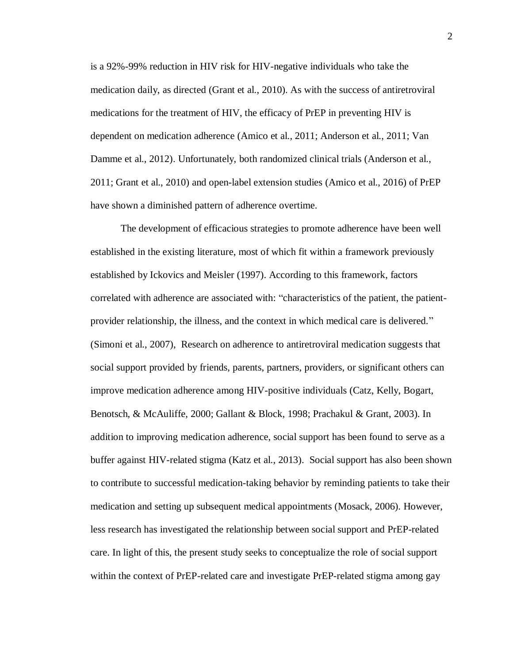is a 92%-99% reduction in HIV risk for HIV-negative individuals who take the medication daily, as directed (Grant et al., 2010). As with the success of antiretroviral medications for the treatment of HIV, the efficacy of PrEP in preventing HIV is dependent on medication adherence (Amico et al., 2011; Anderson et al., 2011; Van Damme et al., 2012). Unfortunately, both randomized clinical trials (Anderson et al., 2011; Grant et al., 2010) and open-label extension studies (Amico et al., 2016) of PrEP have shown a diminished pattern of adherence overtime.

The development of efficacious strategies to promote adherence have been well established in the existing literature, most of which fit within a framework previously established by Ickovics and Meisler (1997). According to this framework, factors correlated with adherence are associated with: "characteristics of the patient, the patientprovider relationship, the illness, and the context in which medical care is delivered." (Simoni et al., 2007), Research on adherence to antiretroviral medication suggests that social support provided by friends, parents, partners, providers, or significant others can improve medication adherence among HIV-positive individuals (Catz, Kelly, Bogart, Benotsch, & McAuliffe, 2000; Gallant & Block, 1998; Prachakul & Grant, 2003). In addition to improving medication adherence, social support has been found to serve as a buffer against HIV-related stigma (Katz et al., 2013). Social support has also been shown to contribute to successful medication-taking behavior by reminding patients to take their medication and setting up subsequent medical appointments (Mosack, 2006). However, less research has investigated the relationship between social support and PrEP-related care. In light of this, the present study seeks to conceptualize the role of social support within the context of PrEP-related care and investigate PrEP-related stigma among gay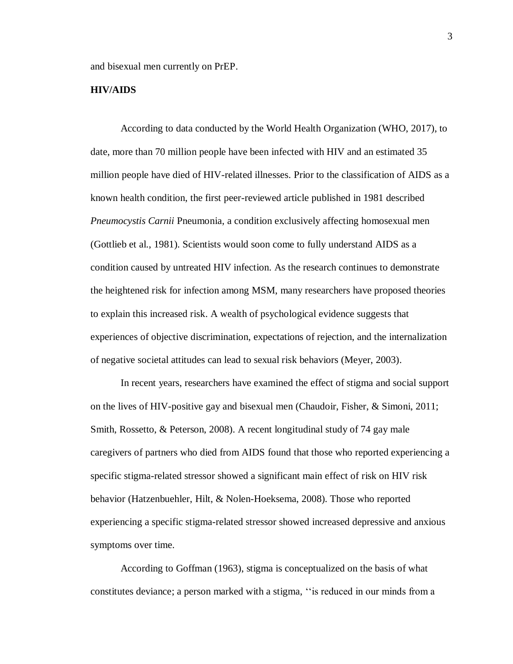and bisexual men currently on PrEP.

## **HIV/AIDS**

According to data conducted by the World Health Organization (WHO, 2017), to date, more than 70 million people have been infected with HIV and an estimated 35 million people have died of HIV-related illnesses. Prior to the classification of AIDS as a known health condition, the first peer-reviewed article published in 1981 described *Pneumocystis Carnii* Pneumonia, a condition exclusively affecting homosexual men (Gottlieb et al., 1981). Scientists would soon come to fully understand AIDS as a condition caused by untreated HIV infection. As the research continues to demonstrate the heightened risk for infection among MSM, many researchers have proposed theories to explain this increased risk. A wealth of psychological evidence suggests that experiences of objective discrimination, expectations of rejection, and the internalization of negative societal attitudes can lead to sexual risk behaviors (Meyer, 2003).

In recent years, researchers have examined the effect of stigma and social support on the lives of HIV-positive gay and bisexual men (Chaudoir, Fisher, & Simoni, 2011; Smith, Rossetto, & Peterson, 2008). A recent longitudinal study of 74 gay male caregivers of partners who died from AIDS found that those who reported experiencing a specific stigma-related stressor showed a significant main effect of risk on HIV risk behavior (Hatzenbuehler, Hilt, & Nolen-Hoeksema, 2008). Those who reported experiencing a specific stigma-related stressor showed increased depressive and anxious symptoms over time.

According to Goffman (1963), stigma is conceptualized on the basis of what constitutes deviance; a person marked with a stigma, ''is reduced in our minds from a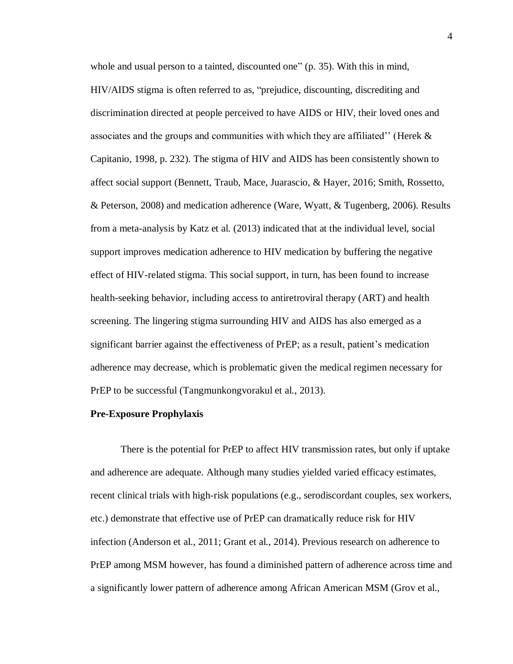whole and usual person to a tainted, discounted one" (p. 35). With this in mind, HIV/AIDS stigma is often referred to as, "prejudice, discounting, discrediting and discrimination directed at people perceived to have AIDS or HIV, their loved ones and associates and the groups and communities with which they are affiliated'' (Herek & Capitanio, 1998, p. 232). The stigma of HIV and AIDS has been consistently shown to affect social support (Bennett, Traub, Mace, Juarascio, & Hayer, 2016; Smith, Rossetto, & Peterson, 2008) and medication adherence (Ware, Wyatt, & Tugenberg, 2006). Results from a meta-analysis by Katz et al. (2013) indicated that at the individual level, social support improves medication adherence to HIV medication by buffering the negative effect of HIV-related stigma. This social support, in turn, has been found to increase health-seeking behavior, including access to antiretroviral therapy (ART) and health screening. The lingering stigma surrounding HIV and AIDS has also emerged as a significant barrier against the effectiveness of PrEP; as a result, patient's medication adherence may decrease, which is problematic given the medical regimen necessary for PrEP to be successful (Tangmunkongvorakul et al., 2013).

#### <span id="page-9-0"></span>**Pre-Exposure Prophylaxis**

There is the potential for PrEP to affect HIV transmission rates, but only if uptake and adherence are adequate. Although many studies yielded varied efficacy estimates, recent clinical trials with high-risk populations (e.g., serodiscordant couples, sex workers, etc.) demonstrate that effective use of PrEP can dramatically reduce risk for HIV infection (Anderson et al., 2011; Grant et al., 2014). Previous research on adherence to PrEP among MSM however, has found a diminished pattern of adherence across time and a significantly lower pattern of adherence among African American MSM (Grov et al.,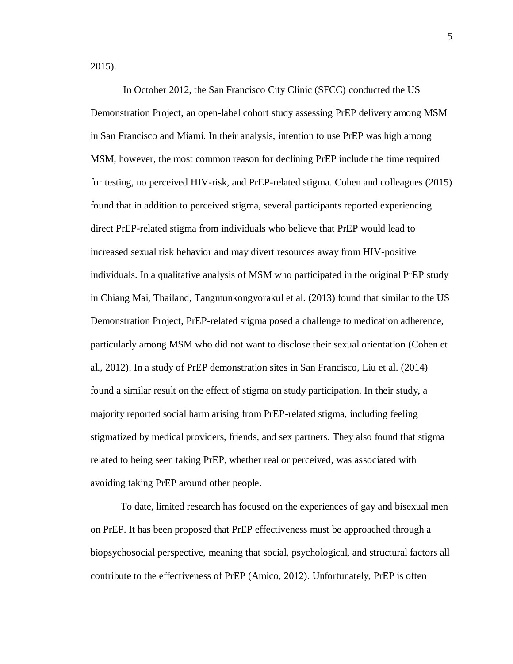2015).

In October 2012, the San Francisco City Clinic (SFCC) conducted the US Demonstration Project, an open-label cohort study assessing PrEP delivery among MSM in San Francisco and Miami. In their analysis, intention to use PrEP was high among MSM, however, the most common reason for declining PrEP include the time required for testing, no perceived HIV-risk, and PrEP-related stigma. Cohen and colleagues (2015) found that in addition to perceived stigma, several participants reported experiencing direct PrEP-related stigma from individuals who believe that PrEP would lead to increased sexual risk behavior and may divert resources away from HIV-positive individuals. In a qualitative analysis of MSM who participated in the original PrEP study in Chiang Mai, Thailand, Tangmunkongvorakul et al. (2013) found that similar to the US Demonstration Project, PrEP-related stigma posed a challenge to medication adherence, particularly among MSM who did not want to disclose their sexual orientation (Cohen et al., 2012). In a study of PrEP demonstration sites in San Francisco, Liu et al. (2014) found a similar result on the effect of stigma on study participation. In their study, a majority reported social harm arising from PrEP-related stigma, including feeling stigmatized by medical providers, friends, and sex partners. They also found that stigma related to being seen taking PrEP, whether real or perceived, was associated with avoiding taking PrEP around other people.

To date, limited research has focused on the experiences of gay and bisexual men on PrEP. It has been proposed that PrEP effectiveness must be approached through a biopsychosocial perspective, meaning that social, psychological, and structural factors all contribute to the effectiveness of PrEP (Amico, 2012). Unfortunately, PrEP is often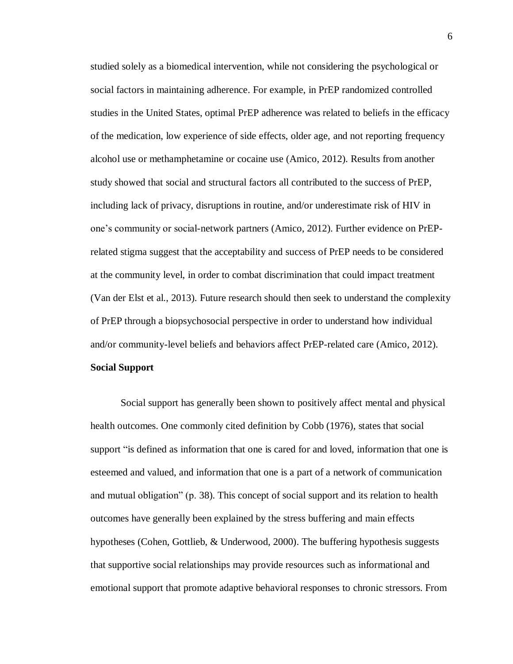studied solely as a biomedical intervention, while not considering the psychological or social factors in maintaining adherence. For example, in PrEP randomized controlled studies in the United States, optimal PrEP adherence was related to beliefs in the efficacy of the medication, low experience of side effects, older age, and not reporting frequency alcohol use or methamphetamine or cocaine use (Amico, 2012). Results from another study showed that social and structural factors all contributed to the success of PrEP, including lack of privacy, disruptions in routine, and/or underestimate risk of HIV in one's community or social-network partners (Amico, 2012). Further evidence on PrEPrelated stigma suggest that the acceptability and success of PrEP needs to be considered at the community level, in order to combat discrimination that could impact treatment (Van der Elst et al., 2013). Future research should then seek to understand the complexity of PrEP through a biopsychosocial perspective in order to understand how individual and/or community-level beliefs and behaviors affect PrEP-related care (Amico, 2012). **Social Support**

<span id="page-11-0"></span>Social support has generally been shown to positively affect mental and physical health outcomes. One commonly cited definition by Cobb (1976), states that social support "is defined as information that one is cared for and loved, information that one is esteemed and valued, and information that one is a part of a network of communication and mutual obligation" (p. 38). This concept of social support and its relation to health outcomes have generally been explained by the stress buffering and main effects hypotheses (Cohen, Gottlieb, & Underwood, 2000). The buffering hypothesis suggests that supportive social relationships may provide resources such as informational and emotional support that promote adaptive behavioral responses to chronic stressors. From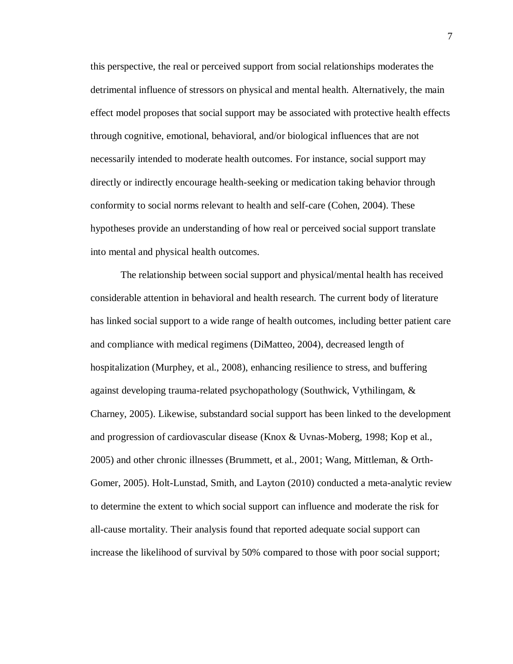this perspective, the real or perceived support from social relationships moderates the detrimental influence of stressors on physical and mental health. Alternatively, the main effect model proposes that social support may be associated with protective health effects through cognitive, emotional, behavioral, and/or biological influences that are not necessarily intended to moderate health outcomes. For instance, social support may directly or indirectly encourage health-seeking or medication taking behavior through conformity to social norms relevant to health and self-care (Cohen, 2004). These hypotheses provide an understanding of how real or perceived social support translate into mental and physical health outcomes.

The relationship between social support and physical/mental health has received considerable attention in behavioral and health research. The current body of literature has linked social support to a wide range of health outcomes, including better patient care and compliance with medical regimens (DiMatteo, 2004), decreased length of hospitalization (Murphey, et al., 2008), enhancing resilience to stress, and buffering against developing trauma-related psychopathology (Southwick, Vythilingam, & Charney, 2005). Likewise, substandard social support has been linked to the development and progression of cardiovascular disease (Knox & Uvnas-Moberg, 1998; Kop et al., 2005) and other chronic illnesses (Brummett, et al., 2001; Wang, Mittleman, & Orth-Gomer, 2005). Holt-Lunstad, Smith, and Layton (2010) conducted a meta-analytic review to determine the extent to which social support can influence and moderate the risk for all-cause mortality. Their analysis found that reported adequate social support can increase the likelihood of survival by 50% compared to those with poor social support;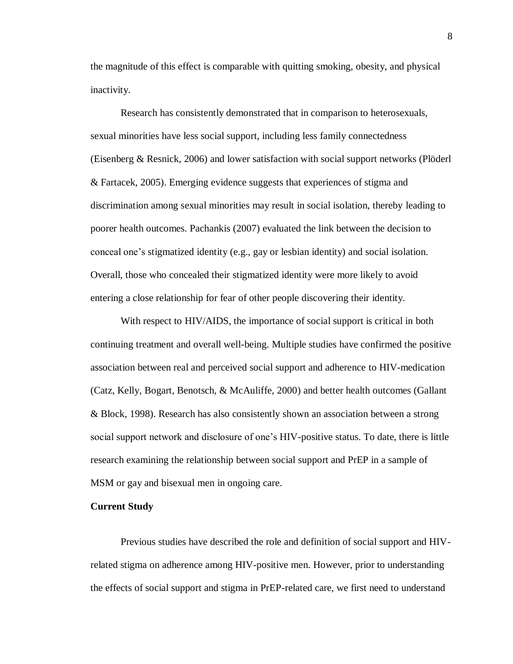the magnitude of this effect is comparable with quitting smoking, obesity, and physical inactivity.

Research has consistently demonstrated that in comparison to heterosexuals, sexual minorities have less social support, including less family connectedness (Eisenberg & Resnick, 2006) and lower satisfaction with social support networks (Plöderl & Fartacek, 2005). Emerging evidence suggests that experiences of stigma and discrimination among sexual minorities may result in social isolation, thereby leading to poorer health outcomes. Pachankis (2007) evaluated the link between the decision to conceal one's stigmatized identity (e.g., gay or lesbian identity) and social isolation. Overall, those who concealed their stigmatized identity were more likely to avoid entering a close relationship for fear of other people discovering their identity.

With respect to HIV/AIDS, the importance of social support is critical in both continuing treatment and overall well-being. Multiple studies have confirmed the positive association between real and perceived social support and adherence to HIV-medication (Catz, Kelly, Bogart, Benotsch, & McAuliffe, 2000) and better health outcomes (Gallant & Block, 1998). Research has also consistently shown an association between a strong social support network and disclosure of one's HIV-positive status. To date, there is little research examining the relationship between social support and PrEP in a sample of MSM or gay and bisexual men in ongoing care.

#### <span id="page-13-0"></span>**Current Study**

Previous studies have described the role and definition of social support and HIVrelated stigma on adherence among HIV-positive men. However, prior to understanding the effects of social support and stigma in PrEP-related care, we first need to understand

8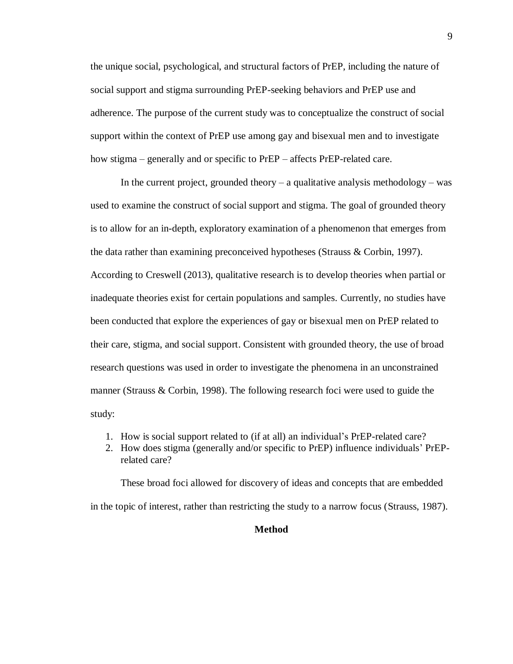the unique social, psychological, and structural factors of PrEP, including the nature of social support and stigma surrounding PrEP-seeking behaviors and PrEP use and adherence. The purpose of the current study was to conceptualize the construct of social support within the context of PrEP use among gay and bisexual men and to investigate how stigma – generally and or specific to PrEP – affects PrEP-related care.

In the current project, grounded theory  $-$  a qualitative analysis methodology  $-$  was used to examine the construct of social support and stigma. The goal of grounded theory is to allow for an in-depth, exploratory examination of a phenomenon that emerges from the data rather than examining preconceived hypotheses (Strauss & Corbin, 1997). According to Creswell (2013), qualitative research is to develop theories when partial or inadequate theories exist for certain populations and samples. Currently, no studies have been conducted that explore the experiences of gay or bisexual men on PrEP related to their care, stigma, and social support. Consistent with grounded theory, the use of broad research questions was used in order to investigate the phenomena in an unconstrained manner (Strauss & Corbin, 1998). The following research foci were used to guide the study:

- 1. How is social support related to (if at all) an individual's PrEP-related care?
- 2. How does stigma (generally and/or specific to PrEP) influence individuals' PrEPrelated care?

<span id="page-14-0"></span>These broad foci allowed for discovery of ideas and concepts that are embedded in the topic of interest, rather than restricting the study to a narrow focus (Strauss, 1987).

### **Method**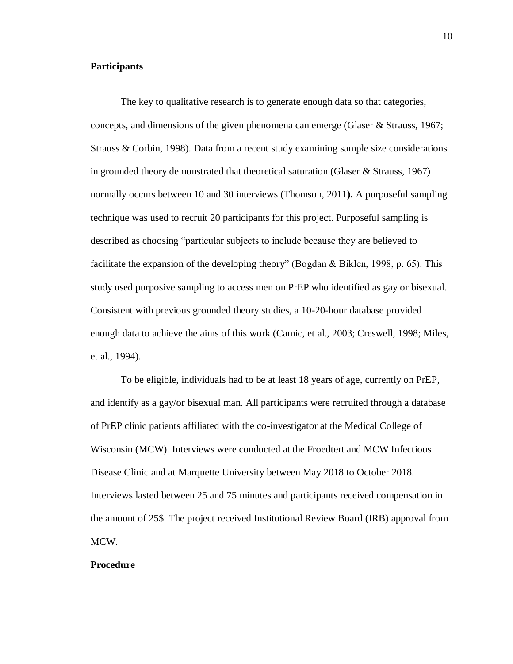# <span id="page-15-0"></span>**Participants**

The key to qualitative research is to generate enough data so that categories, concepts, and dimensions of the given phenomena can emerge (Glaser & Strauss, 1967; Strauss & Corbin, 1998). Data from a recent study examining sample size considerations in grounded theory demonstrated that theoretical saturation (Glaser & Strauss, 1967) normally occurs between 10 and 30 interviews (Thomson, 2011**).** A purposeful sampling technique was used to recruit 20 participants for this project. Purposeful sampling is described as choosing "particular subjects to include because they are believed to facilitate the expansion of the developing theory" (Bogdan & Biklen, 1998, p. 65). This study used purposive sampling to access men on PrEP who identified as gay or bisexual. Consistent with previous grounded theory studies, a 10-20-hour database provided enough data to achieve the aims of this work (Camic, et al., 2003; Creswell, 1998; Miles, et al., 1994).

To be eligible, individuals had to be at least 18 years of age, currently on PrEP, and identify as a gay/or bisexual man. All participants were recruited through a database of PrEP clinic patients affiliated with the co-investigator at the Medical College of Wisconsin (MCW). Interviews were conducted at the Froedtert and MCW Infectious Disease Clinic and at Marquette University between May 2018 to October 2018. Interviews lasted between 25 and 75 minutes and participants received compensation in the amount of 25\$. The project received Institutional Review Board (IRB) approval from MCW.

## <span id="page-15-1"></span>**Procedure**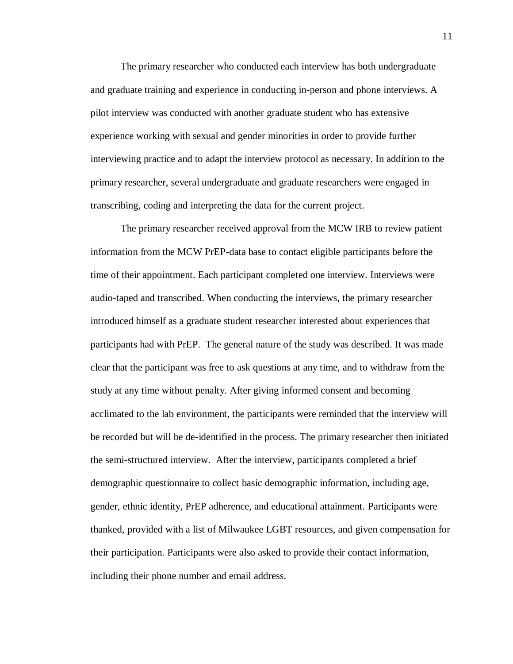The primary researcher who conducted each interview has both undergraduate and graduate training and experience in conducting in-person and phone interviews. A pilot interview was conducted with another graduate student who has extensive experience working with sexual and gender minorities in order to provide further interviewing practice and to adapt the interview protocol as necessary. In addition to the primary researcher, several undergraduate and graduate researchers were engaged in transcribing, coding and interpreting the data for the current project.

The primary researcher received approval from the MCW IRB to review patient information from the MCW PrEP-data base to contact eligible participants before the time of their appointment. Each participant completed one interview. Interviews were audio-taped and transcribed. When conducting the interviews, the primary researcher introduced himself as a graduate student researcher interested about experiences that participants had with PrEP. The general nature of the study was described. It was made clear that the participant was free to ask questions at any time, and to withdraw from the study at any time without penalty. After giving informed consent and becoming acclimated to the lab environment, the participants were reminded that the interview will be recorded but will be de-identified in the process. The primary researcher then initiated the semi-structured interview. After the interview, participants completed a brief demographic questionnaire to collect basic demographic information, including age, gender, ethnic identity, PrEP adherence, and educational attainment. Participants were thanked, provided with a list of Milwaukee LGBT resources, and given compensation for their participation. Participants were also asked to provide their contact information, including their phone number and email address.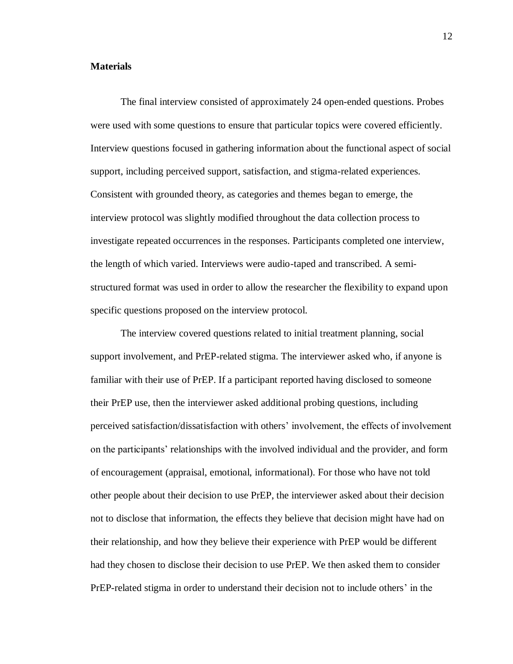# <span id="page-17-0"></span>**Materials**

The final interview consisted of approximately 24 open-ended questions. Probes were used with some questions to ensure that particular topics were covered efficiently. Interview questions focused in gathering information about the functional aspect of social support, including perceived support, satisfaction, and stigma-related experiences. Consistent with grounded theory, as categories and themes began to emerge, the interview protocol was slightly modified throughout the data collection process to investigate repeated occurrences in the responses. Participants completed one interview, the length of which varied. Interviews were audio-taped and transcribed. A semistructured format was used in order to allow the researcher the flexibility to expand upon specific questions proposed on the interview protocol.

The interview covered questions related to initial treatment planning, social support involvement, and PrEP-related stigma. The interviewer asked who, if anyone is familiar with their use of PrEP. If a participant reported having disclosed to someone their PrEP use, then the interviewer asked additional probing questions, including perceived satisfaction/dissatisfaction with others' involvement, the effects of involvement on the participants' relationships with the involved individual and the provider, and form of encouragement (appraisal, emotional, informational). For those who have not told other people about their decision to use PrEP, the interviewer asked about their decision not to disclose that information, the effects they believe that decision might have had on their relationship, and how they believe their experience with PrEP would be different had they chosen to disclose their decision to use PrEP. We then asked them to consider PrEP-related stigma in order to understand their decision not to include others' in the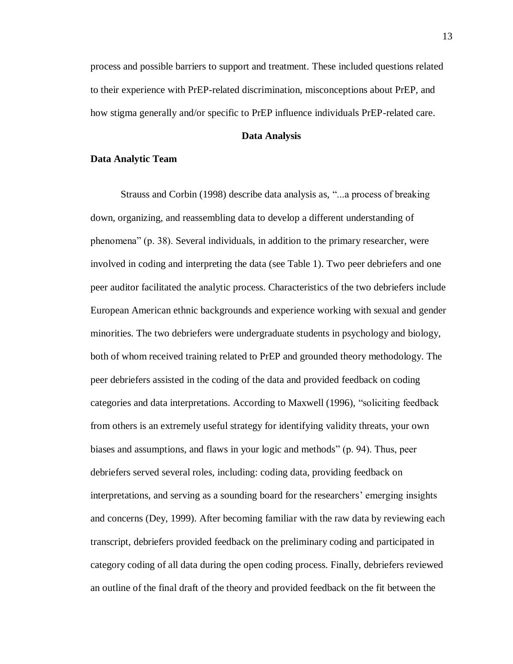process and possible barriers to support and treatment. These included questions related to their experience with PrEP-related discrimination, misconceptions about PrEP, and how stigma generally and/or specific to PrEP influence individuals PrEP-related care.

### **Data Analysis**

#### <span id="page-18-1"></span><span id="page-18-0"></span>**Data Analytic Team**

Strauss and Corbin (1998) describe data analysis as, "...a process of breaking down, organizing, and reassembling data to develop a different understanding of phenomena" (p. 38). Several individuals, in addition to the primary researcher, were involved in coding and interpreting the data (see Table 1). Two peer debriefers and one peer auditor facilitated the analytic process. Characteristics of the two debriefers include European American ethnic backgrounds and experience working with sexual and gender minorities. The two debriefers were undergraduate students in psychology and biology, both of whom received training related to PrEP and grounded theory methodology. The peer debriefers assisted in the coding of the data and provided feedback on coding categories and data interpretations. According to Maxwell (1996), "soliciting feedback from others is an extremely useful strategy for identifying validity threats, your own biases and assumptions, and flaws in your logic and methods" (p. 94). Thus, peer debriefers served several roles, including: coding data, providing feedback on interpretations, and serving as a sounding board for the researchers' emerging insights and concerns (Dey, 1999). After becoming familiar with the raw data by reviewing each transcript, debriefers provided feedback on the preliminary coding and participated in category coding of all data during the open coding process. Finally, debriefers reviewed an outline of the final draft of the theory and provided feedback on the fit between the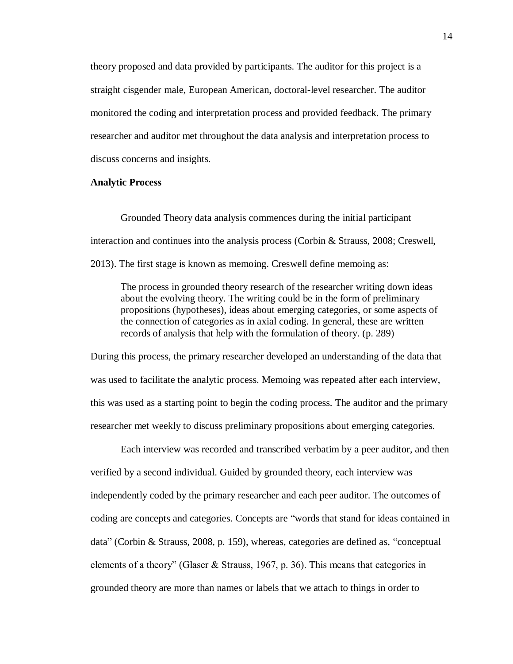theory proposed and data provided by participants. The auditor for this project is a straight cisgender male, European American, doctoral-level researcher. The auditor monitored the coding and interpretation process and provided feedback. The primary researcher and auditor met throughout the data analysis and interpretation process to discuss concerns and insights.

# <span id="page-19-0"></span>**Analytic Process**

Grounded Theory data analysis commences during the initial participant interaction and continues into the analysis process (Corbin & Strauss, 2008; Creswell, 2013). The first stage is known as memoing. Creswell define memoing as:

The process in grounded theory research of the researcher writing down ideas about the evolving theory. The writing could be in the form of preliminary propositions (hypotheses), ideas about emerging categories, or some aspects of the connection of categories as in axial coding. In general, these are written records of analysis that help with the formulation of theory. (p. 289)

During this process, the primary researcher developed an understanding of the data that was used to facilitate the analytic process. Memoing was repeated after each interview, this was used as a starting point to begin the coding process. The auditor and the primary researcher met weekly to discuss preliminary propositions about emerging categories.

Each interview was recorded and transcribed verbatim by a peer auditor, and then verified by a second individual. Guided by grounded theory, each interview was independently coded by the primary researcher and each peer auditor. The outcomes of coding are concepts and categories. Concepts are "words that stand for ideas contained in data" (Corbin & Strauss, 2008, p. 159), whereas, categories are defined as, "conceptual elements of a theory" (Glaser & Strauss, 1967, p. 36). This means that categories in grounded theory are more than names or labels that we attach to things in order to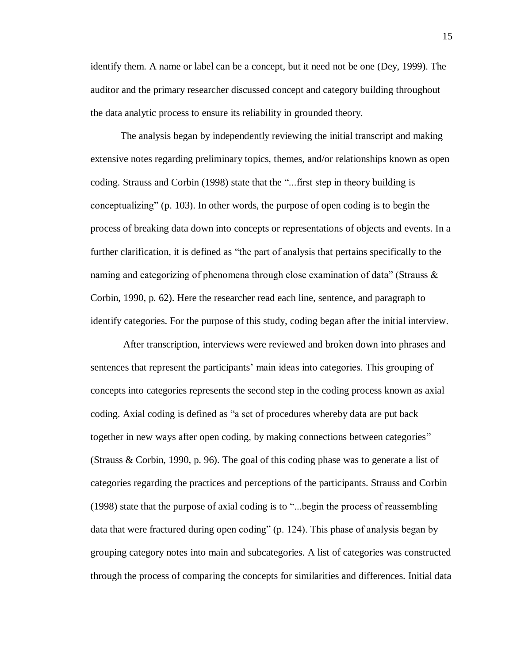identify them. A name or label can be a concept, but it need not be one (Dey, 1999). The auditor and the primary researcher discussed concept and category building throughout the data analytic process to ensure its reliability in grounded theory.

The analysis began by independently reviewing the initial transcript and making extensive notes regarding preliminary topics, themes, and/or relationships known as open coding. Strauss and Corbin (1998) state that the "...first step in theory building is conceptualizing" (p. 103). In other words, the purpose of open coding is to begin the process of breaking data down into concepts or representations of objects and events. In a further clarification, it is defined as "the part of analysis that pertains specifically to the naming and categorizing of phenomena through close examination of data" (Strauss & Corbin, 1990, p. 62). Here the researcher read each line, sentence, and paragraph to identify categories. For the purpose of this study, coding began after the initial interview.

After transcription, interviews were reviewed and broken down into phrases and sentences that represent the participants' main ideas into categories. This grouping of concepts into categories represents the second step in the coding process known as axial coding. Axial coding is defined as "a set of procedures whereby data are put back together in new ways after open coding, by making connections between categories" (Strauss & Corbin, 1990, p. 96). The goal of this coding phase was to generate a list of categories regarding the practices and perceptions of the participants. Strauss and Corbin (1998) state that the purpose of axial coding is to "...begin the process of reassembling data that were fractured during open coding" (p. 124). This phase of analysis began by grouping category notes into main and subcategories. A list of categories was constructed through the process of comparing the concepts for similarities and differences. Initial data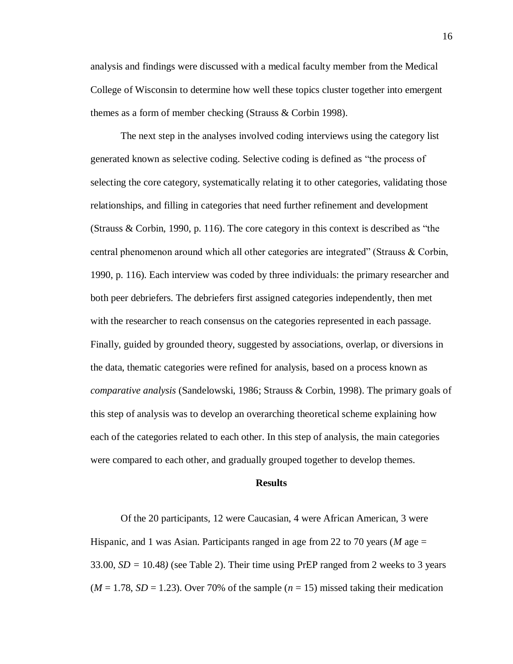analysis and findings were discussed with a medical faculty member from the Medical College of Wisconsin to determine how well these topics cluster together into emergent themes as a form of member checking (Strauss & Corbin 1998).

The next step in the analyses involved coding interviews using the category list generated known as selective coding. Selective coding is defined as "the process of selecting the core category, systematically relating it to other categories, validating those relationships, and filling in categories that need further refinement and development (Strauss & Corbin, 1990, p. 116). The core category in this context is described as "the central phenomenon around which all other categories are integrated" (Strauss & Corbin, 1990, p. 116). Each interview was coded by three individuals: the primary researcher and both peer debriefers. The debriefers first assigned categories independently, then met with the researcher to reach consensus on the categories represented in each passage. Finally, guided by grounded theory, suggested by associations, overlap, or diversions in the data, thematic categories were refined for analysis, based on a process known as *comparative analysis* (Sandelowski, 1986; Strauss & Corbin, 1998). The primary goals of this step of analysis was to develop an overarching theoretical scheme explaining how each of the categories related to each other. In this step of analysis, the main categories were compared to each other, and gradually grouped together to develop themes.

#### **Results**

<span id="page-21-0"></span>Of the 20 participants, 12 were Caucasian, 4 were African American, 3 were Hispanic, and 1 was Asian. Participants ranged in age from 22 to 70 years (*M* age = 33.00, *SD =* 10.48*)* (see Table 2). Their time using PrEP ranged from 2 weeks to 3 years  $(M = 1.78, SD = 1.23)$ . Over 70% of the sample  $(n = 15)$  missed taking their medication

16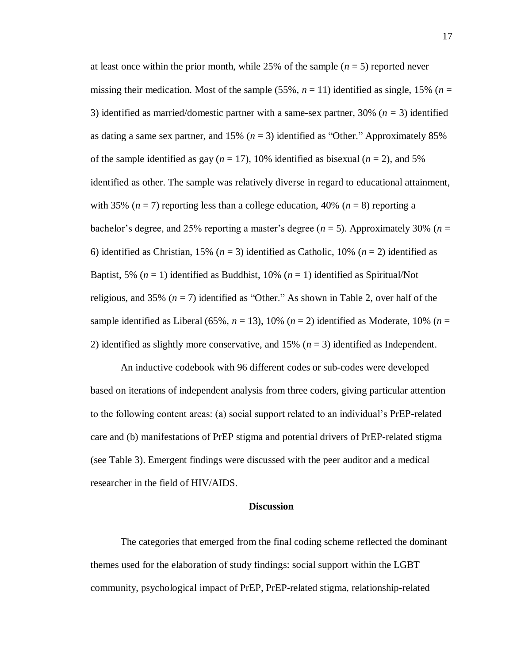at least once within the prior month, while 25% of the sample  $(n = 5)$  reported never missing their medication. Most of the sample (55%,  $n = 11$ ) identified as single, 15% ( $n =$ 3) identified as married/domestic partner with a same-sex partner, 30% (*n =* 3) identified as dating a same sex partner, and  $15\%$  ( $n = 3$ ) identified as "Other." Approximately 85% of the sample identified as gay ( $n = 17$ ), 10% identified as bisexual ( $n = 2$ ), and 5% identified as other. The sample was relatively diverse in regard to educational attainment, with 35%  $(n = 7)$  reporting less than a college education, 40%  $(n = 8)$  reporting a bachelor's degree, and 25% reporting a master's degree  $(n = 5)$ . Approximately 30%  $(n = 5)$ 6) identified as Christian, 15% (*n* = 3) identified as Catholic, 10% (*n* = 2) identified as Baptist, 5% ( $n = 1$ ) identified as Buddhist, 10% ( $n = 1$ ) identified as Spiritual/Not religious, and 35% (*n* = 7) identified as "Other." As shown in Table 2, over half of the sample identified as Liberal (65%,  $n = 13$ ), 10% ( $n = 2$ ) identified as Moderate, 10% ( $n =$ 2) identified as slightly more conservative, and  $15\%$  ( $n = 3$ ) identified as Independent.

An inductive codebook with 96 different codes or sub-codes were developed based on iterations of independent analysis from three coders, giving particular attention to the following content areas: (a) social support related to an individual's PrEP-related care and (b) manifestations of PrEP stigma and potential drivers of PrEP-related stigma (see Table 3). Emergent findings were discussed with the peer auditor and a medical researcher in the field of HIV/AIDS.

### **Discussion**

<span id="page-22-0"></span>The categories that emerged from the final coding scheme reflected the dominant themes used for the elaboration of study findings: social support within the LGBT community, psychological impact of PrEP, PrEP-related stigma, relationship-related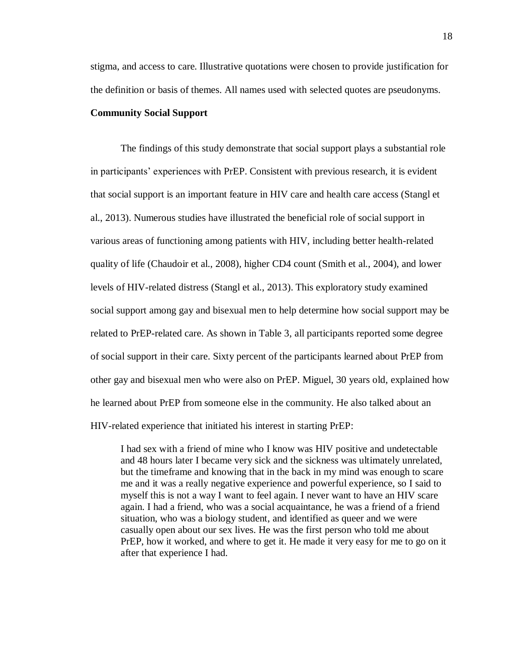stigma, and access to care. Illustrative quotations were chosen to provide justification for the definition or basis of themes. All names used with selected quotes are pseudonyms.

## <span id="page-23-0"></span>**Community Social Support**

The findings of this study demonstrate that social support plays a substantial role in participants' experiences with PrEP. Consistent with previous research, it is evident that social support is an important feature in HIV care and health care access (Stangl et al., 2013). Numerous studies have illustrated the beneficial role of social support in various areas of functioning among patients with HIV, including better health-related quality of life (Chaudoir et al., 2008), higher CD4 count (Smith et al., 2004), and lower levels of HIV-related distress (Stangl et al., 2013). This exploratory study examined social support among gay and bisexual men to help determine how social support may be related to PrEP-related care. As shown in Table 3, all participants reported some degree of social support in their care. Sixty percent of the participants learned about PrEP from other gay and bisexual men who were also on PrEP. Miguel, 30 years old, explained how he learned about PrEP from someone else in the community. He also talked about an HIV-related experience that initiated his interest in starting PrEP:

I had sex with a friend of mine who I know was HIV positive and undetectable and 48 hours later I became very sick and the sickness was ultimately unrelated, but the timeframe and knowing that in the back in my mind was enough to scare me and it was a really negative experience and powerful experience, so I said to myself this is not a way I want to feel again. I never want to have an HIV scare again. I had a friend, who was a social acquaintance, he was a friend of a friend situation, who was a biology student, and identified as queer and we were casually open about our sex lives. He was the first person who told me about PrEP, how it worked, and where to get it. He made it very easy for me to go on it after that experience I had.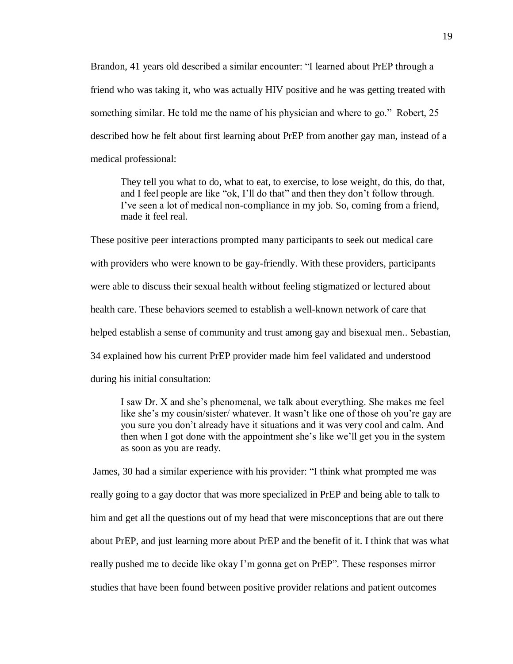Brandon, 41 years old described a similar encounter: "I learned about PrEP through a friend who was taking it, who was actually HIV positive and he was getting treated with something similar. He told me the name of his physician and where to go." Robert, 25 described how he felt about first learning about PrEP from another gay man, instead of a medical professional:

They tell you what to do, what to eat, to exercise, to lose weight, do this, do that, and I feel people are like "ok, I'll do that" and then they don't follow through. I've seen a lot of medical non-compliance in my job. So, coming from a friend, made it feel real.

These positive peer interactions prompted many participants to seek out medical care with providers who were known to be gay-friendly. With these providers, participants were able to discuss their sexual health without feeling stigmatized or lectured about health care. These behaviors seemed to establish a well-known network of care that helped establish a sense of community and trust among gay and bisexual men.. Sebastian, 34 explained how his current PrEP provider made him feel validated and understood during his initial consultation:

I saw Dr. X and she's phenomenal, we talk about everything. She makes me feel like she's my cousin/sister/ whatever. It wasn't like one of those oh you're gay are you sure you don't already have it situations and it was very cool and calm. And then when I got done with the appointment she's like we'll get you in the system as soon as you are ready.

James, 30 had a similar experience with his provider: "I think what prompted me was really going to a gay doctor that was more specialized in PrEP and being able to talk to him and get all the questions out of my head that were misconceptions that are out there about PrEP, and just learning more about PrEP and the benefit of it. I think that was what really pushed me to decide like okay I'm gonna get on PrEP". These responses mirror studies that have been found between positive provider relations and patient outcomes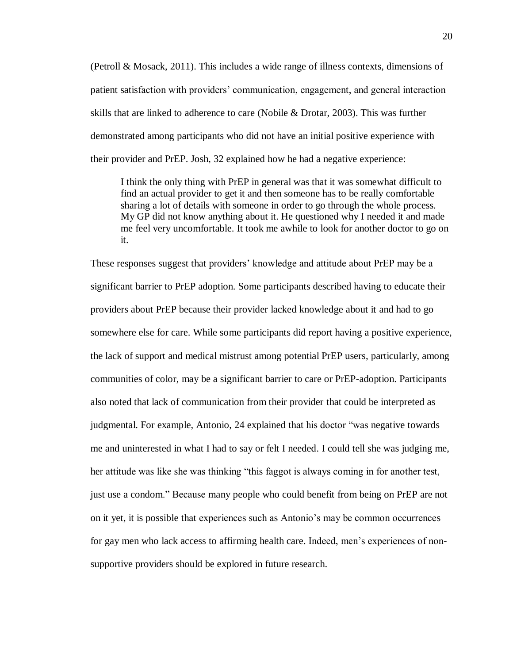(Petroll & Mosack, 2011). This includes a wide range of illness contexts, dimensions of patient satisfaction with providers' communication, engagement, and general interaction skills that are linked to adherence to care (Nobile & Drotar, 2003). This was further demonstrated among participants who did not have an initial positive experience with their provider and PrEP. Josh, 32 explained how he had a negative experience:

I think the only thing with PrEP in general was that it was somewhat difficult to find an actual provider to get it and then someone has to be really comfortable sharing a lot of details with someone in order to go through the whole process. My GP did not know anything about it. He questioned why I needed it and made me feel very uncomfortable. It took me awhile to look for another doctor to go on it.

These responses suggest that providers' knowledge and attitude about PrEP may be a significant barrier to PrEP adoption. Some participants described having to educate their providers about PrEP because their provider lacked knowledge about it and had to go somewhere else for care. While some participants did report having a positive experience, the lack of support and medical mistrust among potential PrEP users, particularly, among communities of color, may be a significant barrier to care or PrEP-adoption. Participants also noted that lack of communication from their provider that could be interpreted as judgmental. For example, Antonio, 24 explained that his doctor "was negative towards me and uninterested in what I had to say or felt I needed. I could tell she was judging me, her attitude was like she was thinking "this faggot is always coming in for another test, just use a condom." Because many people who could benefit from being on PrEP are not on it yet, it is possible that experiences such as Antonio's may be common occurrences for gay men who lack access to affirming health care. Indeed, men's experiences of nonsupportive providers should be explored in future research.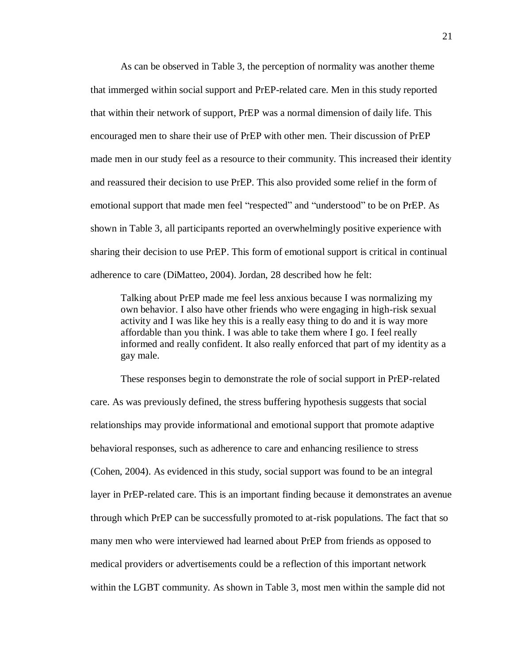As can be observed in Table 3, the perception of normality was another theme that immerged within social support and PrEP-related care. Men in this study reported that within their network of support, PrEP was a normal dimension of daily life. This encouraged men to share their use of PrEP with other men. Their discussion of PrEP made men in our study feel as a resource to their community. This increased their identity and reassured their decision to use PrEP. This also provided some relief in the form of emotional support that made men feel "respected" and "understood" to be on PrEP. As shown in Table 3, all participants reported an overwhelmingly positive experience with sharing their decision to use PrEP. This form of emotional support is critical in continual adherence to care (DiMatteo, 2004). Jordan, 28 described how he felt:

Talking about PrEP made me feel less anxious because I was normalizing my own behavior. I also have other friends who were engaging in high-risk sexual activity and I was like hey this is a really easy thing to do and it is way more affordable than you think. I was able to take them where I go. I feel really informed and really confident. It also really enforced that part of my identity as a gay male.

These responses begin to demonstrate the role of social support in PrEP-related care. As was previously defined, the stress buffering hypothesis suggests that social relationships may provide informational and emotional support that promote adaptive behavioral responses, such as adherence to care and enhancing resilience to stress (Cohen, 2004). As evidenced in this study, social support was found to be an integral layer in PrEP-related care. This is an important finding because it demonstrates an avenue through which PrEP can be successfully promoted to at-risk populations. The fact that so many men who were interviewed had learned about PrEP from friends as opposed to medical providers or advertisements could be a reflection of this important network within the LGBT community. As shown in Table 3, most men within the sample did not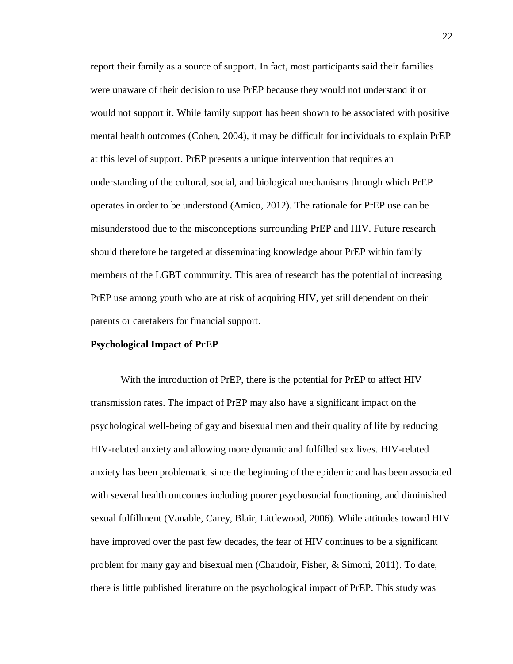report their family as a source of support. In fact, most participants said their families were unaware of their decision to use PrEP because they would not understand it or would not support it. While family support has been shown to be associated with positive mental health outcomes (Cohen, 2004), it may be difficult for individuals to explain PrEP at this level of support. PrEP presents a unique intervention that requires an understanding of the cultural, social, and biological mechanisms through which PrEP operates in order to be understood (Amico, 2012). The rationale for PrEP use can be misunderstood due to the misconceptions surrounding PrEP and HIV. Future research should therefore be targeted at disseminating knowledge about PrEP within family members of the LGBT community. This area of research has the potential of increasing PrEP use among youth who are at risk of acquiring HIV, yet still dependent on their parents or caretakers for financial support.

#### <span id="page-27-0"></span>**Psychological Impact of PrEP**

With the introduction of PrEP, there is the potential for PrEP to affect HIV transmission rates. The impact of PrEP may also have a significant impact on the psychological well-being of gay and bisexual men and their quality of life by reducing HIV-related anxiety and allowing more dynamic and fulfilled sex lives. HIV-related anxiety has been problematic since the beginning of the epidemic and has been associated with several health outcomes including poorer psychosocial functioning, and diminished sexual fulfillment (Vanable, Carey, Blair, Littlewood, 2006). While attitudes toward HIV have improved over the past few decades, the fear of HIV continues to be a significant problem for many gay and bisexual men (Chaudoir, Fisher, & Simoni, 2011). To date, there is little published literature on the psychological impact of PrEP. This study was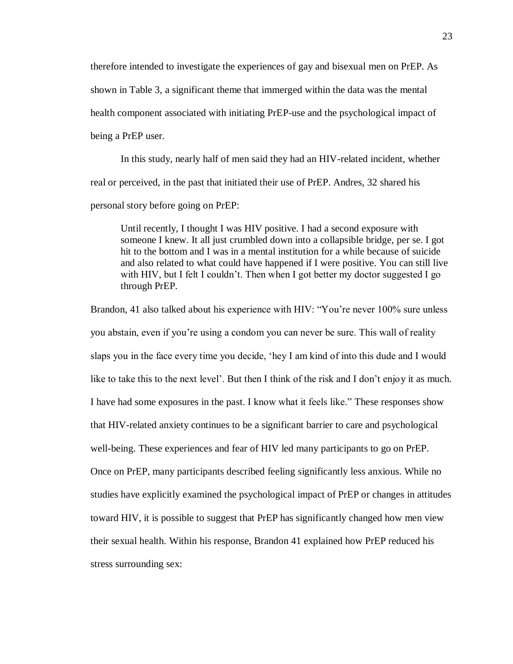therefore intended to investigate the experiences of gay and bisexual men on PrEP. As shown in Table 3, a significant theme that immerged within the data was the mental health component associated with initiating PrEP-use and the psychological impact of being a PrEP user.

In this study, nearly half of men said they had an HIV-related incident, whether real or perceived, in the past that initiated their use of PrEP. Andres, 32 shared his personal story before going on PrEP:

Until recently, I thought I was HIV positive. I had a second exposure with someone I knew. It all just crumbled down into a collapsible bridge, per se. I got hit to the bottom and I was in a mental institution for a while because of suicide and also related to what could have happened if I were positive. You can still live with HIV, but I felt I couldn't. Then when I got better my doctor suggested I go through PrEP.

Brandon, 41 also talked about his experience with HIV: "You're never 100% sure unless you abstain, even if you're using a condom you can never be sure. This wall of reality slaps you in the face every time you decide, 'hey I am kind of into this dude and I would like to take this to the next level'. But then I think of the risk and I don't enjoy it as much. I have had some exposures in the past. I know what it feels like." These responses show that HIV-related anxiety continues to be a significant barrier to care and psychological well-being. These experiences and fear of HIV led many participants to go on PrEP. Once on PrEP, many participants described feeling significantly less anxious. While no studies have explicitly examined the psychological impact of PrEP or changes in attitudes toward HIV, it is possible to suggest that PrEP has significantly changed how men view their sexual health. Within his response, Brandon 41 explained how PrEP reduced his stress surrounding sex: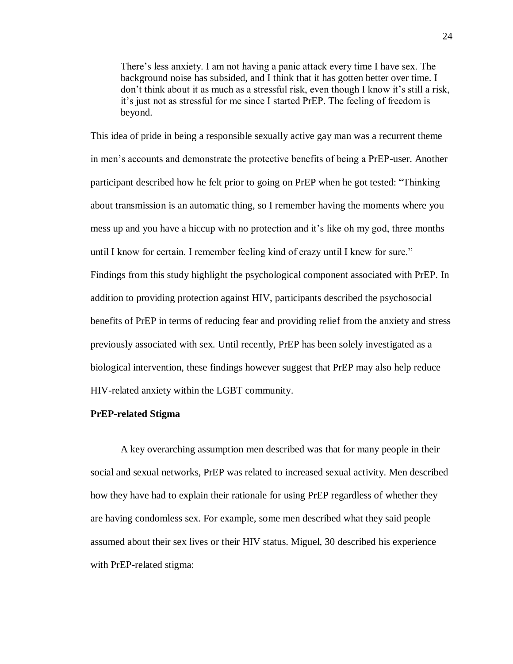There's less anxiety. I am not having a panic attack every time I have sex. The background noise has subsided, and I think that it has gotten better over time. I don't think about it as much as a stressful risk, even though I know it's still a risk, it's just not as stressful for me since I started PrEP. The feeling of freedom is beyond.

This idea of pride in being a responsible sexually active gay man was a recurrent theme in men's accounts and demonstrate the protective benefits of being a PrEP-user. Another participant described how he felt prior to going on PrEP when he got tested: "Thinking about transmission is an automatic thing, so I remember having the moments where you mess up and you have a hiccup with no protection and it's like oh my god, three months until I know for certain. I remember feeling kind of crazy until I knew for sure." Findings from this study highlight the psychological component associated with PrEP. In addition to providing protection against HIV, participants described the psychosocial benefits of PrEP in terms of reducing fear and providing relief from the anxiety and stress previously associated with sex. Until recently, PrEP has been solely investigated as a biological intervention, these findings however suggest that PrEP may also help reduce HIV-related anxiety within the LGBT community.

### <span id="page-29-0"></span>**PrEP-related Stigma**

A key overarching assumption men described was that for many people in their social and sexual networks, PrEP was related to increased sexual activity. Men described how they have had to explain their rationale for using PrEP regardless of whether they are having condomless sex. For example, some men described what they said people assumed about their sex lives or their HIV status. Miguel, 30 described his experience with PrEP-related stigma: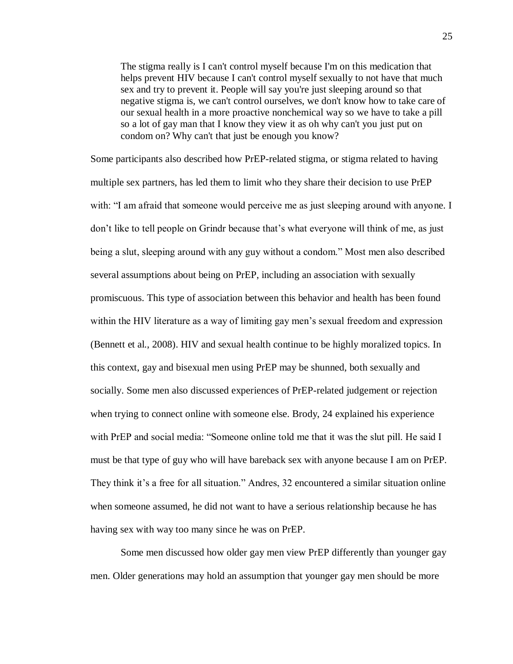The stigma really is I can't control myself because I'm on this medication that helps prevent HIV because I can't control myself sexually to not have that much sex and try to prevent it. People will say you're just sleeping around so that negative stigma is, we can't control ourselves, we don't know how to take care of our sexual health in a more proactive nonchemical way so we have to take a pill so a lot of gay man that I know they view it as oh why can't you just put on condom on? Why can't that just be enough you know?

Some participants also described how PrEP-related stigma, or stigma related to having multiple sex partners, has led them to limit who they share their decision to use PrEP with: "I am afraid that someone would perceive me as just sleeping around with anyone. I don't like to tell people on Grindr because that's what everyone will think of me, as just being a slut, sleeping around with any guy without a condom." Most men also described several assumptions about being on PrEP, including an association with sexually promiscuous. This type of association between this behavior and health has been found within the HIV literature as a way of limiting gay men's sexual freedom and expression (Bennett et al., 2008). HIV and sexual health continue to be highly moralized topics. In this context, gay and bisexual men using PrEP may be shunned, both sexually and socially. Some men also discussed experiences of PrEP-related judgement or rejection when trying to connect online with someone else. Brody, 24 explained his experience with PrEP and social media: "Someone online told me that it was the slut pill. He said I must be that type of guy who will have bareback sex with anyone because I am on PrEP. They think it's a free for all situation." Andres, 32 encountered a similar situation online when someone assumed, he did not want to have a serious relationship because he has having sex with way too many since he was on PrEP.

Some men discussed how older gay men view PrEP differently than younger gay men. Older generations may hold an assumption that younger gay men should be more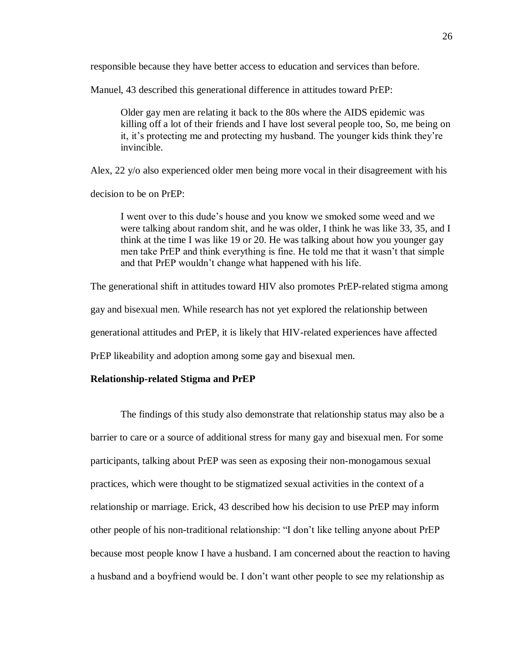responsible because they have better access to education and services than before.

Manuel, 43 described this generational difference in attitudes toward PrEP:

Older gay men are relating it back to the 80s where the AIDS epidemic was killing off a lot of their friends and I have lost several people too, So, me being on it, it's protecting me and protecting my husband. The younger kids think they're invincible.

Alex, 22 y/o also experienced older men being more vocal in their disagreement with his

decision to be on PrEP:

I went over to this dude's house and you know we smoked some weed and we were talking about random shit, and he was older, I think he was like 33, 35, and I think at the time I was like 19 or 20. He was talking about how you younger gay men take PrEP and think everything is fine. He told me that it wasn't that simple and that PrEP wouldn't change what happened with his life.

The generational shift in attitudes toward HIV also promotes PrEP-related stigma among gay and bisexual men. While research has not yet explored the relationship between generational attitudes and PrEP, it is likely that HIV-related experiences have affected PrEP likeability and adoption among some gay and bisexual men.

## <span id="page-31-0"></span>**Relationship-related Stigma and PrEP**

The findings of this study also demonstrate that relationship status may also be a barrier to care or a source of additional stress for many gay and bisexual men. For some participants, talking about PrEP was seen as exposing their non-monogamous sexual practices, which were thought to be stigmatized sexual activities in the context of a relationship or marriage. Erick, 43 described how his decision to use PrEP may inform other people of his non-traditional relationship: "I don't like telling anyone about PrEP because most people know I have a husband. I am concerned about the reaction to having a husband and a boyfriend would be. I don't want other people to see my relationship as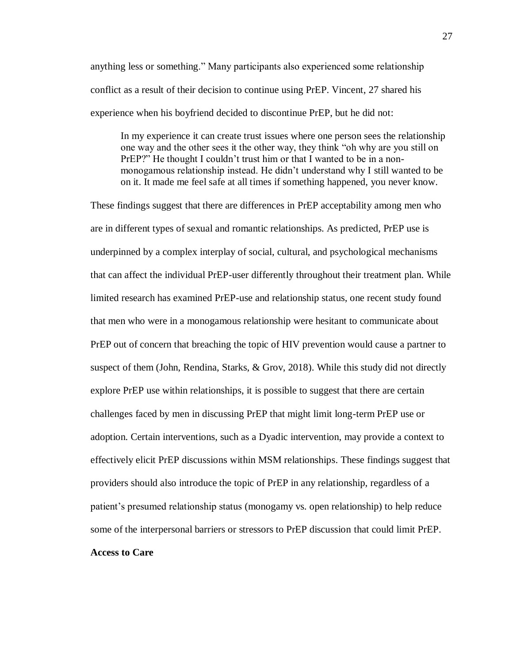anything less or something." Many participants also experienced some relationship conflict as a result of their decision to continue using PrEP. Vincent, 27 shared his experience when his boyfriend decided to discontinue PrEP, but he did not:

In my experience it can create trust issues where one person sees the relationship one way and the other sees it the other way, they think "oh why are you still on PrEP?" He thought I couldn't trust him or that I wanted to be in a nonmonogamous relationship instead. He didn't understand why I still wanted to be on it. It made me feel safe at all times if something happened, you never know.

<span id="page-32-0"></span>These findings suggest that there are differences in PrEP acceptability among men who are in different types of sexual and romantic relationships. As predicted, PrEP use is underpinned by a complex interplay of social, cultural, and psychological mechanisms that can affect the individual PrEP-user differently throughout their treatment plan. While limited research has examined PrEP-use and relationship status, one recent study found that men who were in a monogamous relationship were hesitant to communicate about PrEP out of concern that breaching the topic of HIV prevention would cause a partner to suspect of them (John, Rendina, Starks, & Grov, 2018). While this study did not directly explore PrEP use within relationships, it is possible to suggest that there are certain challenges faced by men in discussing PrEP that might limit long-term PrEP use or adoption. Certain interventions, such as a Dyadic intervention, may provide a context to effectively elicit PrEP discussions within MSM relationships. These findings suggest that providers should also introduce the topic of PrEP in any relationship, regardless of a patient's presumed relationship status (monogamy vs. open relationship) to help reduce some of the interpersonal barriers or stressors to PrEP discussion that could limit PrEP. **Access to Care**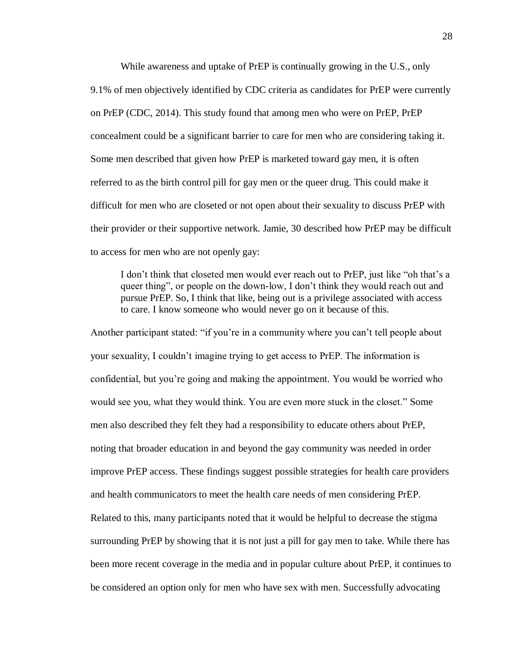While awareness and uptake of PrEP is continually growing in the U.S., only 9.1% of men objectively identified by CDC criteria as candidates for PrEP were currently on PrEP (CDC, 2014). This study found that among men who were on PrEP, PrEP concealment could be a significant barrier to care for men who are considering taking it. Some men described that given how PrEP is marketed toward gay men, it is often referred to as the birth control pill for gay men or the queer drug. This could make it difficult for men who are closeted or not open about their sexuality to discuss PrEP with their provider or their supportive network. Jamie, 30 described how PrEP may be difficult to access for men who are not openly gay:

I don't think that closeted men would ever reach out to PrEP, just like "oh that's a queer thing", or people on the down-low, I don't think they would reach out and pursue PrEP. So, I think that like, being out is a privilege associated with access to care. I know someone who would never go on it because of this.

Another participant stated: "if you're in a community where you can't tell people about your sexuality, I couldn't imagine trying to get access to PrEP. The information is confidential, but you're going and making the appointment. You would be worried who would see you, what they would think. You are even more stuck in the closet." Some men also described they felt they had a responsibility to educate others about PrEP, noting that broader education in and beyond the gay community was needed in order improve PrEP access. These findings suggest possible strategies for health care providers and health communicators to meet the health care needs of men considering PrEP. Related to this, many participants noted that it would be helpful to decrease the stigma surrounding PrEP by showing that it is not just a pill for gay men to take. While there has been more recent coverage in the media and in popular culture about PrEP, it continues to be considered an option only for men who have sex with men. Successfully advocating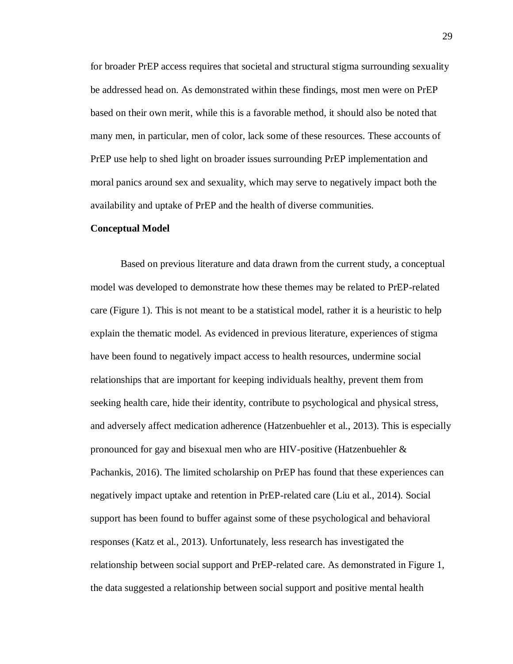for broader PrEP access requires that societal and structural stigma surrounding sexuality be addressed head on. As demonstrated within these findings, most men were on PrEP based on their own merit, while this is a favorable method, it should also be noted that many men, in particular, men of color, lack some of these resources. These accounts of PrEP use help to shed light on broader issues surrounding PrEP implementation and moral panics around sex and sexuality, which may serve to negatively impact both the availability and uptake of PrEP and the health of diverse communities.

#### <span id="page-34-0"></span>**Conceptual Model**

Based on previous literature and data drawn from the current study, a conceptual model was developed to demonstrate how these themes may be related to PrEP-related care (Figure 1). This is not meant to be a statistical model, rather it is a heuristic to help explain the thematic model. As evidenced in previous literature, experiences of stigma have been found to negatively impact access to health resources, undermine social relationships that are important for keeping individuals healthy, prevent them from seeking health care, hide their identity, contribute to psychological and physical stress, and adversely affect medication adherence (Hatzenbuehler et al., 2013). This is especially pronounced for gay and bisexual men who are HIV-positive (Hatzenbuehler  $\&$ Pachankis, 2016). The limited scholarship on PrEP has found that these experiences can negatively impact uptake and retention in PrEP-related care (Liu et al., 2014). Social support has been found to buffer against some of these psychological and behavioral responses (Katz et al., 2013). Unfortunately, less research has investigated the relationship between social support and PrEP-related care. As demonstrated in Figure 1, the data suggested a relationship between social support and positive mental health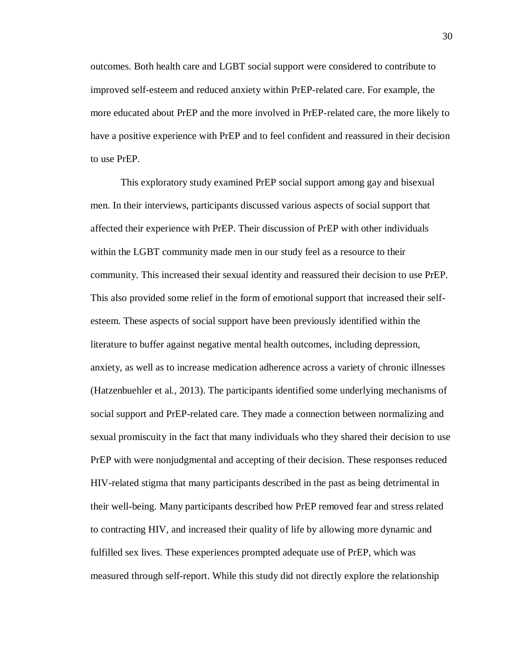outcomes. Both health care and LGBT social support were considered to contribute to improved self-esteem and reduced anxiety within PrEP-related care. For example, the more educated about PrEP and the more involved in PrEP-related care, the more likely to have a positive experience with PrEP and to feel confident and reassured in their decision to use PrEP.

This exploratory study examined PrEP social support among gay and bisexual men. In their interviews, participants discussed various aspects of social support that affected their experience with PrEP. Their discussion of PrEP with other individuals within the LGBT community made men in our study feel as a resource to their community. This increased their sexual identity and reassured their decision to use PrEP. This also provided some relief in the form of emotional support that increased their selfesteem. These aspects of social support have been previously identified within the literature to buffer against negative mental health outcomes, including depression, anxiety, as well as to increase medication adherence across a variety of chronic illnesses (Hatzenbuehler et al., 2013). The participants identified some underlying mechanisms of social support and PrEP-related care. They made a connection between normalizing and sexual promiscuity in the fact that many individuals who they shared their decision to use PrEP with were nonjudgmental and accepting of their decision. These responses reduced HIV-related stigma that many participants described in the past as being detrimental in their well-being. Many participants described how PrEP removed fear and stress related to contracting HIV, and increased their quality of life by allowing more dynamic and fulfilled sex lives. These experiences prompted adequate use of PrEP, which was measured through self-report. While this study did not directly explore the relationship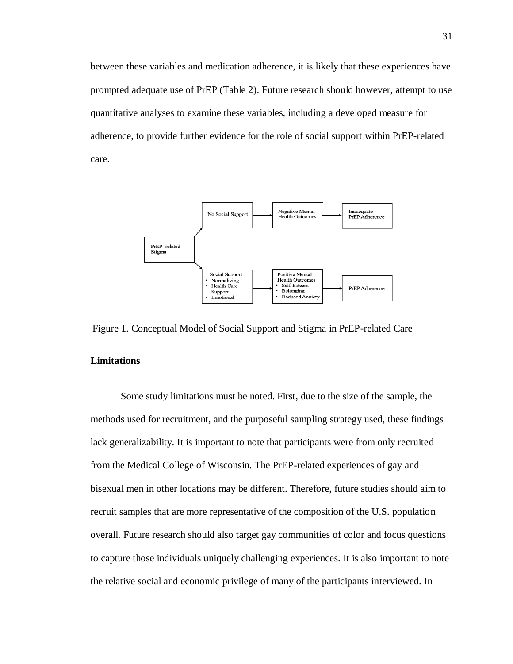between these variables and medication adherence, it is likely that these experiences have prompted adequate use of PrEP (Table 2). Future research should however, attempt to use quantitative analyses to examine these variables, including a developed measure for adherence, to provide further evidence for the role of social support within PrEP-related care.



Figure 1. Conceptual Model of Social Support and Stigma in PrEP-related Care

## <span id="page-36-0"></span>**Limitations**

Some study limitations must be noted. First, due to the size of the sample, the methods used for recruitment, and the purposeful sampling strategy used, these findings lack generalizability. It is important to note that participants were from only recruited from the Medical College of Wisconsin. The PrEP-related experiences of gay and bisexual men in other locations may be different. Therefore, future studies should aim to recruit samples that are more representative of the composition of the U.S. population overall. Future research should also target gay communities of color and focus questions to capture those individuals uniquely challenging experiences. It is also important to note the relative social and economic privilege of many of the participants interviewed. In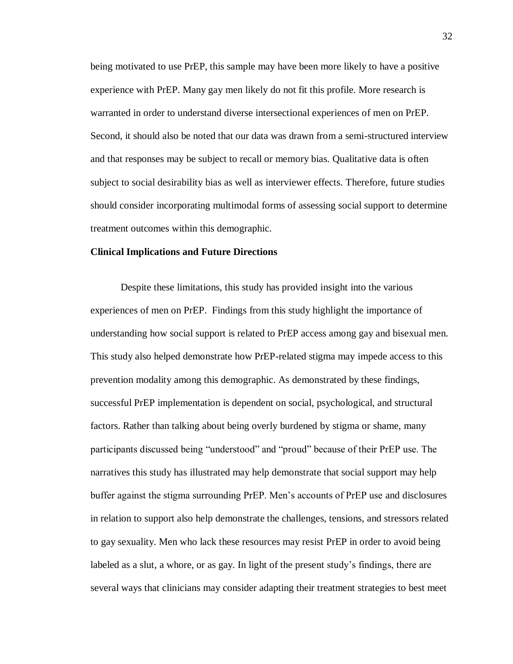being motivated to use PrEP, this sample may have been more likely to have a positive experience with PrEP. Many gay men likely do not fit this profile. More research is warranted in order to understand diverse intersectional experiences of men on PrEP. Second, it should also be noted that our data was drawn from a semi-structured interview and that responses may be subject to recall or memory bias. Qualitative data is often subject to social desirability bias as well as interviewer effects. Therefore, future studies should consider incorporating multimodal forms of assessing social support to determine treatment outcomes within this demographic.

#### <span id="page-37-0"></span>**Clinical Implications and Future Directions**

Despite these limitations, this study has provided insight into the various experiences of men on PrEP. Findings from this study highlight the importance of understanding how social support is related to PrEP access among gay and bisexual men. This study also helped demonstrate how PrEP-related stigma may impede access to this prevention modality among this demographic. As demonstrated by these findings, successful PrEP implementation is dependent on social, psychological, and structural factors. Rather than talking about being overly burdened by stigma or shame, many participants discussed being "understood" and "proud" because of their PrEP use. The narratives this study has illustrated may help demonstrate that social support may help buffer against the stigma surrounding PrEP. Men's accounts of PrEP use and disclosures in relation to support also help demonstrate the challenges, tensions, and stressors related to gay sexuality. Men who lack these resources may resist PrEP in order to avoid being labeled as a slut, a whore, or as gay. In light of the present study's findings, there are several ways that clinicians may consider adapting their treatment strategies to best meet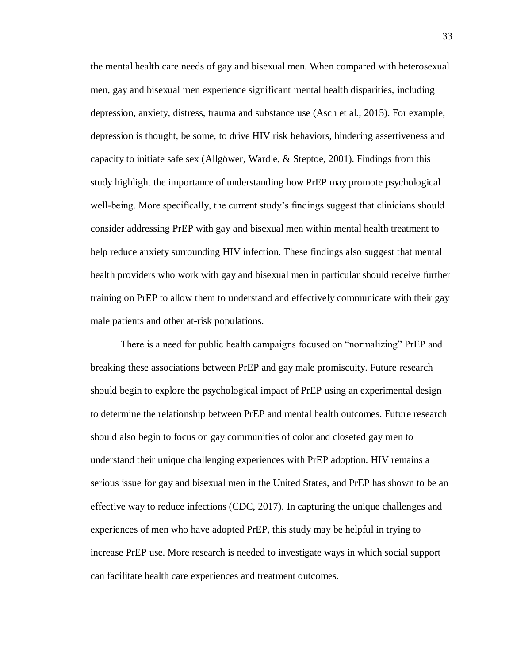the mental health care needs of gay and bisexual men. When compared with heterosexual men, gay and bisexual men experience significant mental health disparities, including depression, anxiety, distress, trauma and substance use (Asch et al., 2015). For example, depression is thought, be some, to drive HIV risk behaviors, hindering assertiveness and capacity to initiate safe sex (Allgöwer, Wardle, & Steptoe, 2001). Findings from this study highlight the importance of understanding how PrEP may promote psychological well-being. More specifically, the current study's findings suggest that clinicians should consider addressing PrEP with gay and bisexual men within mental health treatment to help reduce anxiety surrounding HIV infection. These findings also suggest that mental health providers who work with gay and bisexual men in particular should receive further training on PrEP to allow them to understand and effectively communicate with their gay male patients and other at-risk populations.

There is a need for public health campaigns focused on "normalizing" PrEP and breaking these associations between PrEP and gay male promiscuity. Future research should begin to explore the psychological impact of PrEP using an experimental design to determine the relationship between PrEP and mental health outcomes. Future research should also begin to focus on gay communities of color and closeted gay men to understand their unique challenging experiences with PrEP adoption. HIV remains a serious issue for gay and bisexual men in the United States, and PrEP has shown to be an effective way to reduce infections (CDC, 2017). In capturing the unique challenges and experiences of men who have adopted PrEP, this study may be helpful in trying to increase PrEP use. More research is needed to investigate ways in which social support can facilitate health care experiences and treatment outcomes.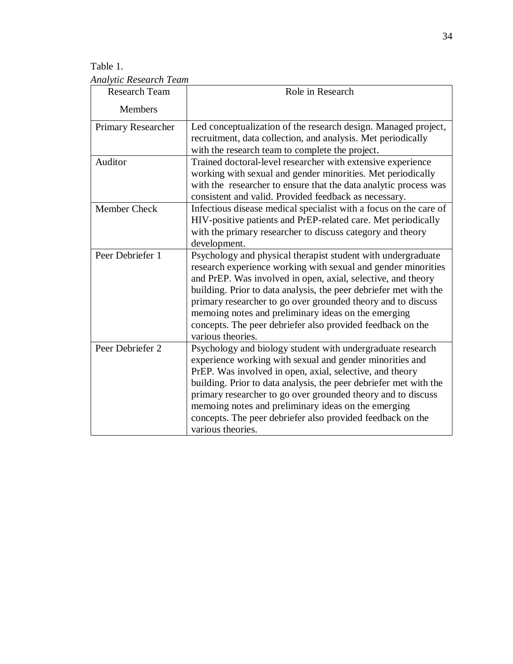Table 1. *Analytic Research Team* 

| <b>Research Team</b> | Role in Research                                                                                                                                                                                                                                                                                                                                                                                                                                                             |
|----------------------|------------------------------------------------------------------------------------------------------------------------------------------------------------------------------------------------------------------------------------------------------------------------------------------------------------------------------------------------------------------------------------------------------------------------------------------------------------------------------|
| <b>Members</b>       |                                                                                                                                                                                                                                                                                                                                                                                                                                                                              |
| Primary Researcher   | Led conceptualization of the research design. Managed project,<br>recruitment, data collection, and analysis. Met periodically<br>with the research team to complete the project.                                                                                                                                                                                                                                                                                            |
| Auditor              | Trained doctoral-level researcher with extensive experience<br>working with sexual and gender minorities. Met periodically<br>with the researcher to ensure that the data analytic process was<br>consistent and valid. Provided feedback as necessary.                                                                                                                                                                                                                      |
| Member Check         | Infectious disease medical specialist with a focus on the care of<br>HIV-positive patients and PrEP-related care. Met periodically<br>with the primary researcher to discuss category and theory<br>development.                                                                                                                                                                                                                                                             |
| Peer Debriefer 1     | Psychology and physical therapist student with undergraduate<br>research experience working with sexual and gender minorities<br>and PrEP. Was involved in open, axial, selective, and theory<br>building. Prior to data analysis, the peer debriefer met with the<br>primary researcher to go over grounded theory and to discuss<br>memoing notes and preliminary ideas on the emerging<br>concepts. The peer debriefer also provided feedback on the<br>various theories. |
| Peer Debriefer 2     | Psychology and biology student with undergraduate research<br>experience working with sexual and gender minorities and<br>PrEP. Was involved in open, axial, selective, and theory<br>building. Prior to data analysis, the peer debriefer met with the<br>primary researcher to go over grounded theory and to discuss<br>memoing notes and preliminary ideas on the emerging<br>concepts. The peer debriefer also provided feedback on the<br>various theories.            |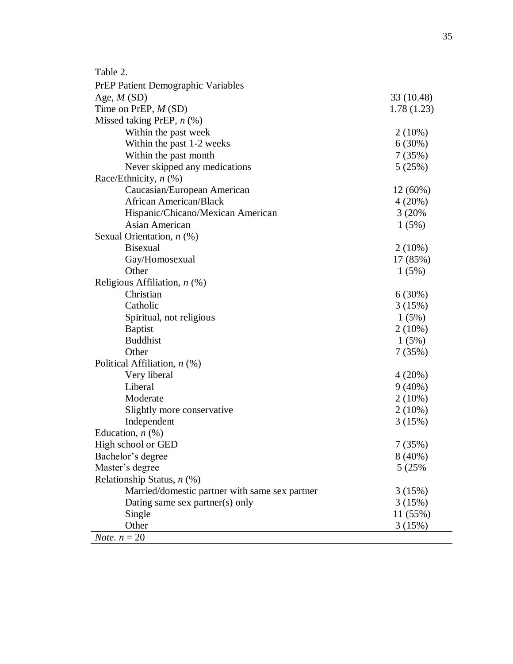Table 2.

| <b>PrEP Patient Demographic Variables</b>      |            |  |  |
|------------------------------------------------|------------|--|--|
| Age, $M(SD)$                                   | 33 (10.48) |  |  |
| Time on PrEP, $M(SD)$                          | 1.78(1.23) |  |  |
| Missed taking PrEP, $n$ (%)                    |            |  |  |
| Within the past week                           | $2(10\%)$  |  |  |
| Within the past 1-2 weeks                      | 6(30%)     |  |  |
| Within the past month                          | 7(35%)     |  |  |
| Never skipped any medications                  | 5(25%)     |  |  |
| Race/Ethnicity, $n$ (%)                        |            |  |  |
| Caucasian/European American                    | $12(60\%)$ |  |  |
| <b>African American/Black</b>                  | 4(20%)     |  |  |
| Hispanic/Chicano/Mexican American              | 3(20%      |  |  |
| Asian American                                 | 1(5%)      |  |  |
| Sexual Orientation, $n$ (%)                    |            |  |  |
| <b>Bisexual</b>                                | $2(10\%)$  |  |  |
| Gay/Homosexual                                 | 17 (85%)   |  |  |
| Other                                          | 1(5%)      |  |  |
| Religious Affiliation, $n$ (%)                 |            |  |  |
| Christian                                      | 6(30%)     |  |  |
| Catholic                                       | 3(15%)     |  |  |
| Spiritual, not religious                       | 1(5%)      |  |  |
| <b>Baptist</b>                                 | $2(10\%)$  |  |  |
| <b>Buddhist</b>                                | 1(5%)      |  |  |
| Other                                          | 7(35%)     |  |  |
| Political Affiliation, $n$ (%)                 |            |  |  |
| Very liberal                                   | 4(20%)     |  |  |
| Liberal                                        | $9(40\%)$  |  |  |
| Moderate                                       | $2(10\%)$  |  |  |
| Slightly more conservative                     | $2(10\%)$  |  |  |
| Independent                                    | 3(15%)     |  |  |
| Education, $n$ $(\%)$                          |            |  |  |
| High school or GED                             | 7(35%)     |  |  |
| Bachelor's degree                              | $8(40\%)$  |  |  |
| Master's degree                                | 5 (25%)    |  |  |
| Relationship Status, $n$ (%)                   |            |  |  |
| Married/domestic partner with same sex partner | 3(15%)     |  |  |
| Dating same sex partner(s) only                | 3(15%)     |  |  |
| Single                                         | 11 (55%)   |  |  |
| Other                                          | 3(15%)     |  |  |
| <i>Note.</i> $n = 20$                          |            |  |  |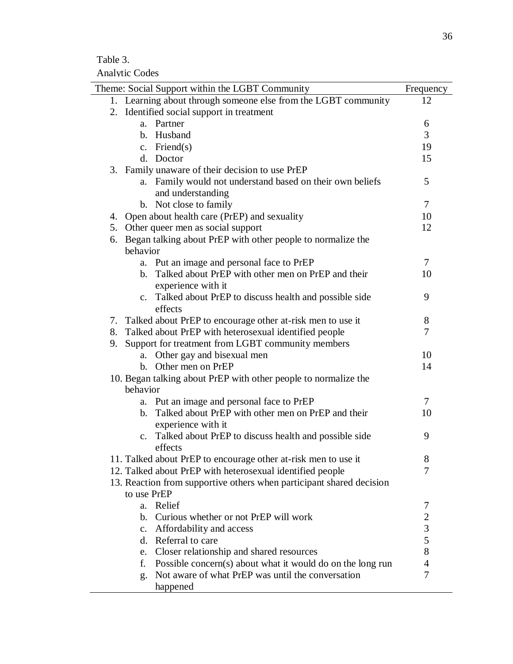Table 3.

Analytic Codes

|    | Theme: Social Support within the LGBT Community                      | Frequency      |
|----|----------------------------------------------------------------------|----------------|
|    | 1. Learning about through someone else from the LGBT community       | 12             |
|    | 2. Identified social support in treatment                            |                |
|    | a. Partner                                                           | 6              |
|    | b. Husband                                                           | 3              |
|    | c. Friend $(s)$                                                      | 19             |
|    | d. Doctor                                                            | 15             |
|    | 3. Family unaware of their decision to use PrEP                      |                |
|    | a. Family would not understand based on their own beliefs            | 5              |
|    | and understanding                                                    |                |
|    | b. Not close to family                                               | $\overline{7}$ |
|    | 4. Open about health care (PrEP) and sexuality                       | 10             |
|    | 5. Other queer men as social support                                 | 12             |
| 6. | Began talking about PrEP with other people to normalize the          |                |
|    | behavior                                                             |                |
|    | a. Put an image and personal face to PrEP                            | $\tau$         |
|    | b. Talked about PrEP with other men on PrEP and their                | 10             |
|    | experience with it                                                   |                |
|    | c. Talked about PrEP to discuss health and possible side             | 9              |
|    | effects                                                              |                |
|    | 7. Talked about PrEP to encourage other at-risk men to use it        | 8              |
|    | 8. Talked about PrEP with heterosexual identified people             | 7              |
| 9. | Support for treatment from LGBT community members                    |                |
|    | Other gay and bisexual men<br>a.                                     | 10             |
|    | Other men on PrEP<br>$h_{-}$                                         | 14             |
|    | 10. Began talking about PrEP with other people to normalize the      |                |
|    | behavior                                                             |                |
|    | a. Put an image and personal face to PrEP                            | 7              |
|    | b. Talked about PrEP with other men on PrEP and their                | 10             |
|    | experience with it                                                   |                |
|    | c. Talked about PrEP to discuss health and possible side             | 9              |
|    | effects                                                              |                |
|    | 11. Talked about PrEP to encourage other at-risk men to use it       | 8              |
|    | 12. Talked about PrEP with heterosexual identified people            | 7              |
|    | 13. Reaction from supportive others when participant shared decision |                |
|    | to use PrEP                                                          |                |
|    | Relief<br>a.                                                         | 7              |
|    | Curious whether or not PrEP will work<br>b.                          | $\mathfrak{2}$ |
|    | c. Affordability and access                                          | $\mathfrak{Z}$ |
|    | d. Referral to care                                                  | 5              |
|    | Closer relationship and shared resources<br>e.                       | 8              |
|    | Possible concern(s) about what it would do on the long run<br>f.     | $\overline{4}$ |
|    | Not aware of what PrEP was until the conversation<br>g.              | 7              |
|    | happened                                                             |                |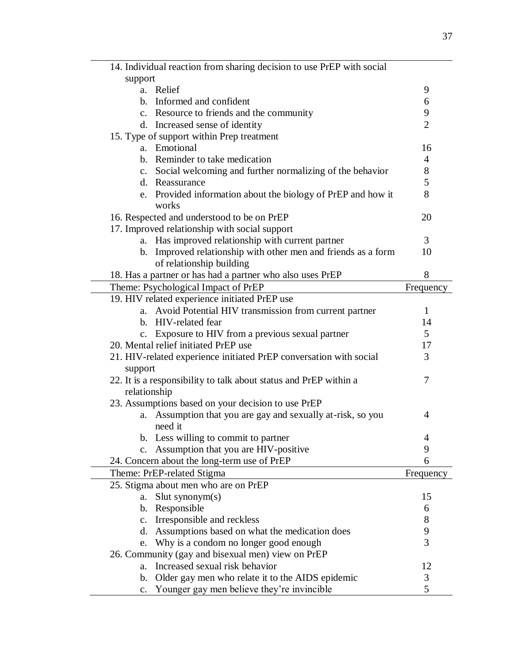| 14. Individual reaction from sharing decision to use PrEP with social |                |
|-----------------------------------------------------------------------|----------------|
| support                                                               |                |
| a. Relief                                                             | 9              |
| b. Informed and confident                                             | 6              |
| c. Resource to friends and the community                              | 9              |
| d. Increased sense of identity                                        | $\overline{2}$ |
| 15. Type of support within Prep treatment                             |                |
| a. Emotional                                                          | 16             |
| b. Reminder to take medication                                        | $\overline{4}$ |
| c. Social welcoming and further normalizing of the behavior           | $8\,$          |
| d. Reassurance                                                        | 5              |
| e. Provided information about the biology of PrEP and how it          | 8              |
| works                                                                 |                |
| 16. Respected and understood to be on PrEP                            | 20             |
| 17. Improved relationship with social support                         |                |
| a. Has improved relationship with current partner                     | 3              |
| b. Improved relationship with other men and friends as a form         | 10             |
| of relationship building                                              |                |
| 18. Has a partner or has had a partner who also uses PrEP             | 8              |
| Theme: Psychological Impact of PrEP                                   | Frequency      |
| 19. HIV related experience initiated PrEP use                         |                |
| Avoid Potential HIV transmission from current partner<br>$a_{\cdot}$  | 1              |
| b. HIV-related fear                                                   | 14             |
| Exposure to HIV from a previous sexual partner                        | 5              |
| 20. Mental relief initiated PrEP use                                  | 17             |
| 21. HIV-related experience initiated PrEP conversation with social    | 3              |
| support                                                               |                |
| 22. It is a responsibility to talk about status and PrEP within a     | 7              |
| relationship                                                          |                |
| 23. Assumptions based on your decision to use PrEP                    |                |
| Assumption that you are gay and sexually at-risk, so you<br>a.        | 4              |
| need it                                                               |                |
| b. Less willing to commit to partner                                  | 4              |
| Assumption that you are HIV-positive<br>$c_{\cdot}$                   | 9              |
| 24. Concern about the long-term use of PrEP                           | 6              |
| Theme: PrEP-related Stigma                                            | Frequency      |
| 25. Stigma about men who are on PrEP                                  |                |
|                                                                       | 15             |
| slut synonym(s)<br>a.<br>$\mathbf{b}$ .                               |                |
| Responsible                                                           | 6              |
| Irresponsible and reckless<br>$\mathbf{c}$ .                          | 8              |
| Assumptions based on what the medication does<br>d.                   | 9<br>3         |
| Why is a condom no longer good enough<br>e.                           |                |
| 26. Community (gay and bisexual men) view on PrEP                     |                |
| Increased sexual risk behavior<br>a.                                  | 12             |
| Older gay men who relate it to the AIDS epidemic<br>b.                | 3              |
| Younger gay men believe they're invincible<br>$\mathbf{c}$ .          | 5              |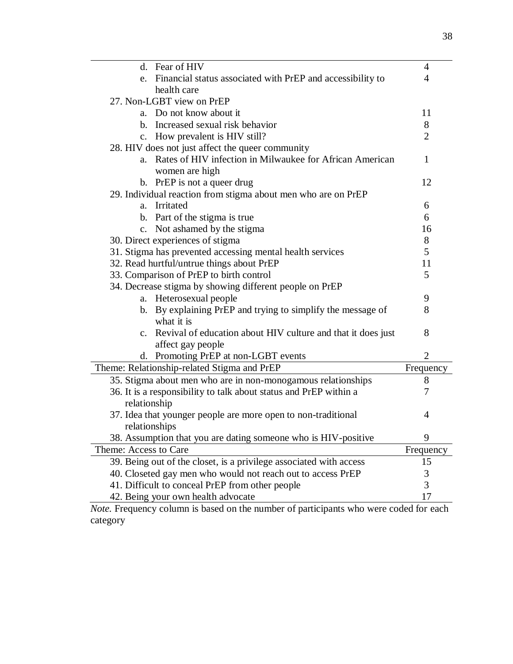| d. Fear of HIV                                                     | 4              |  |  |
|--------------------------------------------------------------------|----------------|--|--|
| e. Financial status associated with PrEP and accessibility to      | 4              |  |  |
| health care                                                        |                |  |  |
| 27. Non-LGBT view on PrEP                                          |                |  |  |
| a. Do not know about it                                            | 11             |  |  |
| b. Increased sexual risk behavior                                  | 8              |  |  |
| c. How prevalent is HIV still?                                     | $\overline{2}$ |  |  |
| 28. HIV does not just affect the queer community                   |                |  |  |
| a. Rates of HIV infection in Milwaukee for African American        | $\mathbf{1}$   |  |  |
| women are high                                                     |                |  |  |
| b. PrEP is not a queer drug                                        | 12             |  |  |
| 29. Individual reaction from stigma about men who are on PrEP      |                |  |  |
| a. Irritated                                                       | 6              |  |  |
| b. Part of the stigma is true                                      | 6              |  |  |
| c. Not ashamed by the stigma                                       | 16             |  |  |
| 30. Direct experiences of stigma                                   | 8              |  |  |
| 31. Stigma has prevented accessing mental health services          | 5              |  |  |
| 32. Read hurtful/untrue things about PrEP                          | 11             |  |  |
| 33. Comparison of PrEP to birth control                            | 5              |  |  |
| 34. Decrease stigma by showing different people on PrEP            |                |  |  |
| a. Heterosexual people                                             | 9              |  |  |
| b. By explaining PrEP and trying to simplify the message of        | 8              |  |  |
| what it is                                                         |                |  |  |
| c. Revival of education about HIV culture and that it does just    | 8              |  |  |
| affect gay people                                                  |                |  |  |
| d. Promoting PrEP at non-LGBT events                               | $\overline{2}$ |  |  |
| Theme: Relationship-related Stigma and PrEP                        | Frequency      |  |  |
| 35. Stigma about men who are in non-monogamous relationships       | 8              |  |  |
| 36. It is a responsibility to talk about status and PrEP within a  | 7              |  |  |
| relationship                                                       |                |  |  |
| 37. Idea that younger people are more open to non-traditional      | 4              |  |  |
| relationships                                                      |                |  |  |
| 38. Assumption that you are dating someone who is HIV-positive     | 9              |  |  |
| Theme: Access to Care                                              | Frequency      |  |  |
| 39. Being out of the closet, is a privilege associated with access | 15             |  |  |
| 40. Closeted gay men who would not reach out to access PrEP        | 3              |  |  |
| 41. Difficult to conceal PrEP from other people                    | 3              |  |  |
| 42. Being your own health advocate                                 | 17             |  |  |

*Note.* Frequency column is based on the number of participants who were coded for each category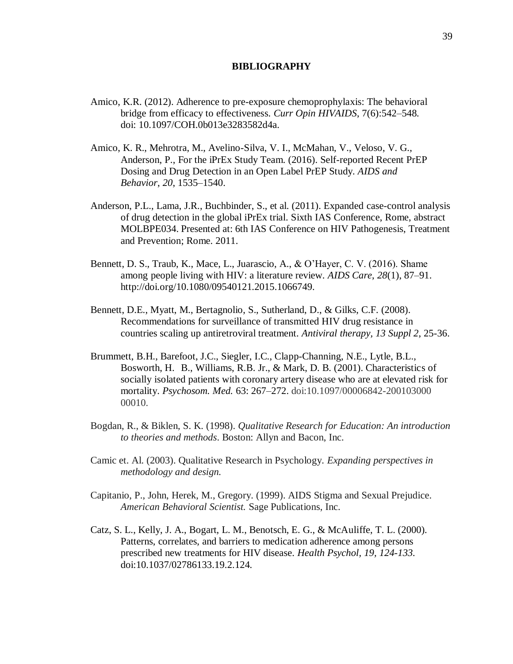# **BIBLIOGRAPHY**

- <span id="page-44-0"></span>Amico, K.R. (2012). Adherence to pre-exposure chemoprophylaxis: The behavioral bridge from efficacy to effectiveness. *Curr Opin HIVAIDS*, 7(6):542–548. doi: 10.1097/COH.0b013e3283582d4a.
- Amico, K. R., Mehrotra, M., Avelino-Silva, V. I., McMahan, V., Veloso, V. G., Anderson, P., For the iPrEx Study Team. (2016). Self-reported Recent PrEP Dosing and Drug Detection in an Open Label PrEP Study. *AIDS and Behavior*, *20*, 1535–1540.
- Anderson, P.L., Lama, J.R., Buchbinder, S., et al. (2011). Expanded case-control analysis of drug detection in the global iPrEx trial. Sixth IAS Conference, Rome, abstract MOLBPE034. Presented at: 6th IAS Conference on HIV Pathogenesis, Treatment and Prevention; Rome. 2011.
- Bennett, D. S., Traub, K., Mace, L., Juarascio, A., & O'Hayer, C. V. (2016). Shame among people living with HIV: a literature review. *AIDS Care*, *28*(1), 87–91. http://doi.org/10.1080/09540121.2015.1066749.
- Bennett, D.E., Myatt, M., Bertagnolio, S., Sutherland, D., & Gilks, C.F. (2008). Recommendations for surveillance of transmitted HIV drug resistance in countries scaling up antiretroviral treatment. *Antiviral therapy, 13 Suppl 2*, 25-36.
- Brummett, B.H., Barefoot, J.C., Siegler, I.C., Clapp-Channing, N.E., Lytle, B.L., Bosworth, H. B., Williams, R.B. Jr., & Mark, D. B. (2001). Characteristics of socially isolated patients with coronary artery disease who are at elevated risk for mortality. *Psychosom. Med.* 63: 267–272. doi:10.1097/00006842-200103000 00010.
- Bogdan, R., & Biklen, S. K. (1998). *Qualitative Research for Education: An introduction to theories and methods*. Boston: Allyn and Bacon, Inc.
- Camic et. Al. (2003). Qualitative Research in Psychology. *Expanding perspectives in methodology and design.*
- Capitanio, P., John, Herek, M., Gregory. (1999). AIDS Stigma and Sexual Prejudice. *American Behavioral Scientist.* Sage Publications, Inc.
- Catz, S. L., Kelly, J. A., Bogart, L. M., Benotsch, E. G., & McAuliffe, T. L. (2000). Patterns, correlates, and barriers to medication adherence among persons prescribed new treatments for HIV disease. *Health Psychol, 19, 124-133.* doi:10.1037/02786133.19.2.124.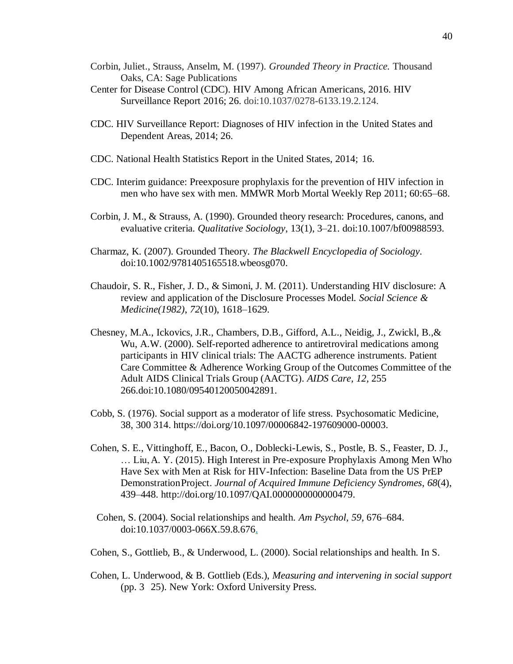- Corbin, Juliet., Strauss, Anselm, M. (1997). *Grounded Theory in Practice.* Thousand Oaks, CA: Sage Publications
- Center for Disease Control (CDC). HIV Among African Americans, 2016. HIV Surveillance Report 2016; 26. doi:10.1037/0278-6133.19.2.124.
- CDC. HIV Surveillance Report: Diagnoses of HIV infection in the United States and Dependent Areas, 2014; 26.
- CDC. National Health Statistics Report in the United States, 2014; 16.
- CDC. Interim guidance: Preexposure prophylaxis for the prevention of HIV infection in men who have sex with men. MMWR Morb Mortal Weekly Rep 2011; 60:65–68.
- Corbin, J. M., & Strauss, A. (1990). Grounded theory research: Procedures, canons, and evaluative criteria. *Qualitative Sociology*, 13(1), 3–21. doi:10.1007/bf00988593.
- Charmaz, K. (2007). Grounded Theory. *The Blackwell Encyclopedia of Sociology*. doi:10.1002/9781405165518.wbeosg070.
- Chaudoir, S. R., Fisher, J. D., & Simoni, J. M. (2011). Understanding HIV disclosure: A review and application of the Disclosure Processes Model. *Social Science & Medicine(1982)*, *72*(10), 1618–1629.
- Chesney, M.A., Ickovics, J.R., Chambers, D.B., Gifford, A.L., Neidig, J., Zwickl, B.,& Wu, A.W. (2000). Self-reported adherence to antiretroviral medications among participants in HIV clinical trials: The AACTG adherence instruments. Patient Care Committee & Adherence Working Group of the Outcomes Committee of the Adult AIDS Clinical Trials Group (AACTG). *AIDS Care, 12,* 255 266.doi:10.1080/09540120050042891.
- Cobb, S. (1976). Social support as a moderator of life stress. Psychosomatic Medicine, 38, 300 314. https://doi.org/10.1097/00006842-197609000-00003.
- Cohen, S. E., Vittinghoff, E., Bacon, O., Doblecki-Lewis, S., Postle, B. S., Feaster, D. J., … Liu,A. Y. (2015). High Interest in Pre-exposure Prophylaxis Among Men Who Have Sex with Men at Risk for HIV-Infection: Baseline Data from the US PrEP DemonstrationProject. *Journal of Acquired Immune Deficiency Syndromes*, *68*(4), 439–448. http://doi.org/10.1097/QAI.0000000000000479.
- Cohen, S. (2004). Social relationships and health. *Am Psychol, 59,* 676–684. doi:10.1037/0003-066X.59.8.676.
- Cohen, S., Gottlieb, B., & Underwood, L. (2000). Social relationships and health. In S.
- Cohen, L. Underwood, & B. Gottlieb (Eds.), *Measuring and intervening in social support* (pp. 3 25). New York: Oxford University Press.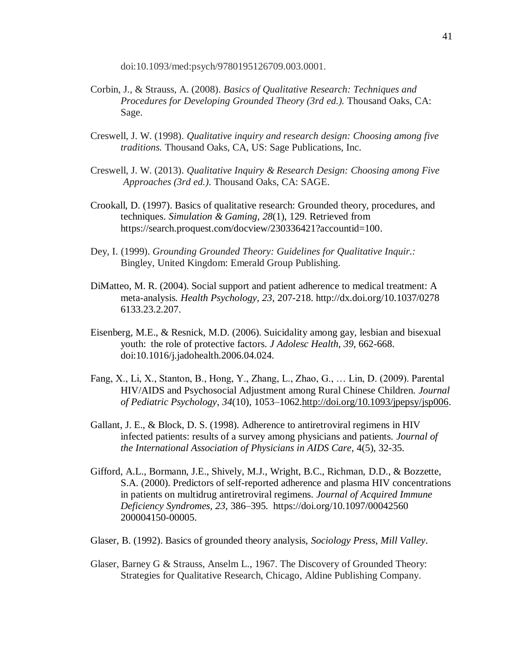doi:10.1093/med:psych/9780195126709.003.0001.

- Corbin, J., & Strauss, A. (2008). *Basics of Qualitative Research: Techniques and Procedures for Developing Grounded Theory (3rd ed.).* Thousand Oaks, CA: Sage.
- Creswell, J. W. (1998). *Qualitative inquiry and research design: Choosing among five traditions.* Thousand Oaks, CA, US: Sage Publications, Inc.
- Creswell, J. W. (2013). *Qualitative Inquiry & Research Design: Choosing among Five Approaches (3rd ed.).* Thousand Oaks, CA: SAGE.
- Crookall, D. (1997). Basics of qualitative research: Grounded theory, procedures, and techniques. *Simulation & Gaming, 28*(1), 129. Retrieved from https://search.proquest.com/docview/230336421?accountid=100.
- Dey, I. (1999). *Grounding Grounded Theory: Guidelines for Qualitative Inquir.:* Bingley, United Kingdom: Emerald Group Publishing.
- DiMatteo, M. R. (2004). Social support and patient adherence to medical treatment: A meta-analysis*. Health Psychology, 23*, 207-218. http://dx.doi.org/10.1037/0278 6133.23.2.207.
- Eisenberg, M.E., & Resnick, M.D. (2006). Suicidality among gay, lesbian and bisexual youth: the role of protective factors. *J Adolesc Health, 39*, 662-668. doi:10.1016/j.jadohealth.2006.04.024.
- Fang, X., Li, X., Stanton, B., Hong, Y., Zhang, L., Zhao, G., … Lin, D. (2009). Parental HIV/AIDS and Psychosocial Adjustment among Rural Chinese Children. *Journal of Pediatric Psychology*, *34*(10), 1053–1062[.http://doi.org/10.1093/jpepsy/jsp006.](http://doi.org/10.1093/jpepsy/jsp006)
- Gallant, J. E., & Block, D. S. (1998). Adherence to antiretroviral regimens in HIV infected patients: results of a survey among physicians and patients. *Journal of the International Association of Physicians in AIDS Care*, 4(5), 32-35.
- Gifford, A.L., Bormann, J.E., Shively, M.J., Wright, B.C., Richman, D.D., & Bozzette, S.A. (2000). Predictors of self-reported adherence and plasma HIV concentrations in patients on multidrug antiretroviral regimens. *Journal of Acquired Immune Deficiency Syndromes, 23,* 386–395. https://doi.org/10.1097/00042560 200004150-00005.
- Glaser, B. (1992). Basics of grounded theory analysis, *Sociology Press, Mill Valley*.
- Glaser, Barney G & Strauss, Anselm L., 1967. The Discovery of Grounded Theory: Strategies for Qualitative Research, Chicago, Aldine Publishing Company.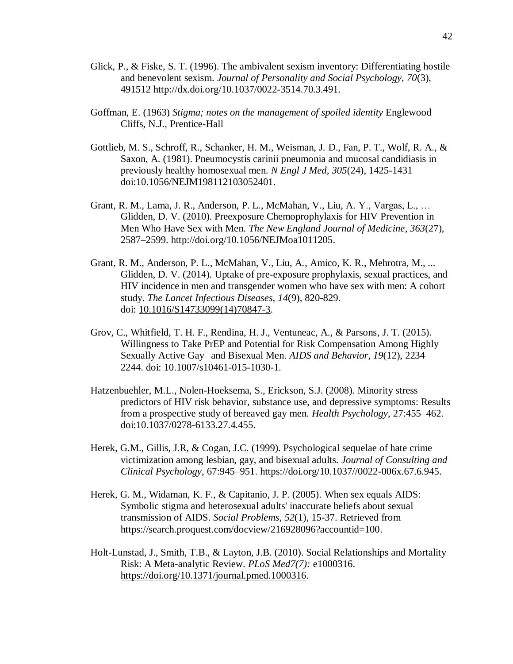- Glick, P., & Fiske, S. T. (1996). The ambivalent sexism inventory: Differentiating hostile and benevolent sexism. *Journal of Personality and Social Psychology, 70*(3), 491512 [http://dx.doi.org/10.1037/0022-3514.70.3.491.](http://psycnet.apa.org/doi/10.1037/0022-3514.70.3.491)
- Goffman, E. (1963) *Stigma; notes on the management of spoiled identity* Englewood Cliffs, N.J., Prentice-Hall
- Gottlieb, M. S., Schroff, R., Schanker, H. M., Weisman, J. D., Fan, P. T., Wolf, R. A., & Saxon, A. (1981). Pneumocystis carinii pneumonia and mucosal candidiasis in previously healthy homosexual men. *N Engl J Med, 305*(24), 1425-1431 doi:10.1056/NEJM198112103052401.
- Grant, R. M., Lama, J. R., Anderson, P. L., McMahan, V., Liu, A. Y., Vargas, L., … Glidden, D. V. (2010). Preexposure Chemoprophylaxis for HIV Prevention in Men Who Have Sex with Men. *The New England Journal of Medicine*, *363*(27), 2587–2599. http://doi.org/10.1056/NEJMoa1011205.
- Grant, R. M., Anderson, P. L., McMahan, V., Liu, A., Amico, K. R., Mehrotra, M., ... Glidden, D. V. (2014). Uptake of pre-exposure prophylaxis, sexual practices, and HIV incidence in men and transgender women who have sex with men: A cohort study. *The Lancet Infectious Diseases*, *14*(9), 820-829. doi: [10.1016/S14733099\(14\)70847-3.](http://dx.doi.org/10.1016/S1473-3099(14)70847-3)
- Grov, C., Whitfield, T. H. F., Rendina, H. J., Ventuneac, A., & Parsons, J. T. (2015). Willingness to Take PrEP and Potential for Risk Compensation Among Highly Sexually Active Gay and Bisexual Men. *AIDS and Behavior*, *19*(12), 2234 2244. doi: 10.1007/s10461-015-1030-1.
- Hatzenbuehler, M.L., Nolen-Hoeksema, S., Erickson, S.J. (2008). Minority stress predictors of HIV risk behavior, substance use, and depressive symptoms: Results from a prospective study of bereaved gay men. *Health Psychology*, 27:455–462. doi:10.1037/0278-6133.27.4.455.
- Herek, G.M., Gillis, J.R, & Cogan, J.C. (1999). Psychological sequelae of hate crime victimization among lesbian, gay, and bisexual adults. *Journal of Consulting and Clinical Psychology*, 67:945–951. https://doi.org/10.1037//0022-006x.67.6.945.
- Herek, G. M., Widaman, K. F., & Capitanio, J. P. (2005). When sex equals AIDS: Symbolic stigma and heterosexual adults' inaccurate beliefs about sexual transmission of AIDS. *Social Problems, 52*(1), 15-37. Retrieved from https://search.proquest.com/docview/216928096?accountid=100.
- Holt-Lunstad, J., Smith, T.B., & Layton, J.B. (2010). Social Relationships and Mortality Risk: A Meta-analytic Review. *PLoS Med7(7):* e1000316. [https://doi.org/10.1371/journal.pmed.1000316.](https://doi.org/10.1371/journal.pmed.1000316)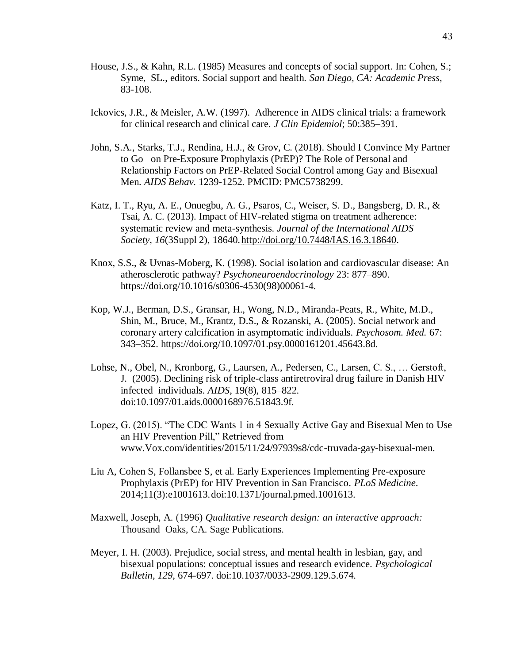- House, J.S., & Kahn, R.L. (1985) Measures and concepts of social support. In: Cohen, S.; Syme, SL., editors. Social support and health. *San Diego, CA: Academic Press*, 83-108.
- Ickovics, J.R., & Meisler, A.W. (1997). Adherence in AIDS clinical trials: a framework for clinical research and clinical care. *J Clin Epidemiol*; 50:385–391.
- John, S.A., Starks, T.J., Rendina, H.J., & Grov, C. (2018). Should I Convince My Partner to Go on Pre-Exposure Prophylaxis (PrEP)? The Role of Personal and Relationship Factors on PrEP-Related Social Control among Gay and Bisexual Men. *AIDS Behav.* 1239-1252. PMCID: PMC5738299.
- Katz, I. T., Ryu, A. E., Onuegbu, A. G., Psaros, C., Weiser, S. D., Bangsberg, D. R., & Tsai, A. C. (2013). Impact of HIV-related stigma on treatment adherence: systematic review and meta-synthesis. *Journal of the International AIDS Society*, *16*(3Suppl 2), 18640[.http://doi.org/10.7448/IAS.16.3.18640.](http://doi.org/10.7448/IAS.16.3.18640)
- Knox, S.S., & Uvnas-Moberg, K. (1998). Social isolation and cardiovascular disease: An atherosclerotic pathway? *Psychoneuroendocrinology* 23: 877–890. https://doi.org/10.1016/s0306-4530(98)00061-4.
- Kop, W.J., Berman, D.S., Gransar, H., Wong, N.D., Miranda-Peats, R., White, M.D., Shin, M., Bruce, M., Krantz, D.S., & Rozanski, A. (2005). Social network and coronary artery calcification in asymptomatic individuals. *Psychosom. Med.* 67: 343–352. https://doi.org/10.1097/01.psy.0000161201.45643.8d.
- Lohse, N., Obel, N., Kronborg, G., Laursen, A., Pedersen, C., Larsen, C. S., … Gerstoft, J. (2005). Declining risk of triple-class antiretroviral drug failure in Danish HIV infected individuals. *AIDS*, 19(8), 815–822. doi:10.1097/01.aids.0000168976.51843.9f.
- Lopez, G. (2015). "The CDC Wants 1 in 4 Sexually Active Gay and Bisexual Men to Use an HIV Prevention Pill," Retrieved from www.Vox.com/identities/2015/11/24/97939s8/cdc-truvada-gay-bisexual-men.
- Liu A, Cohen S, Follansbee S, et al. Early Experiences Implementing Pre-exposure Prophylaxis (PrEP) for HIV Prevention in San Francisco. *PLoS Medicine*. 2014;11(3):e1001613.doi:10.1371/journal.pmed.1001613.
- Maxwell, Joseph, A. (1996) *Qualitative research design: an interactive approach:* Thousand Oaks, CA. Sage Publications.
- Meyer, I. H. (2003). Prejudice, social stress, and mental health in lesbian, gay, and bisexual populations: conceptual issues and research evidence. *Psychological Bulletin, 129,* 674-697. doi:10.1037/0033-2909.129.5.674.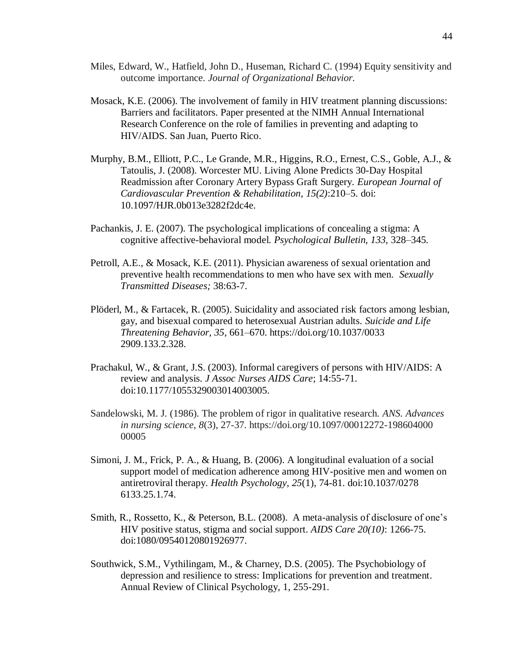- Miles, Edward, W., Hatfield, John D., Huseman, Richard C. (1994) Equity sensitivity and outcome importance. *Journal of Organizational Behavior.*
- Mosack, K.E. (2006). The involvement of family in HIV treatment planning discussions: Barriers and facilitators. Paper presented at the NIMH Annual International Research Conference on the role of families in preventing and adapting to HIV/AIDS. San Juan, Puerto Rico.
- Murphy, B.M., Elliott, P.C., Le Grande, M.R., Higgins, R.O., Ernest, C.S., Goble, A.J., & Tatoulis, J. (2008). Worcester MU. Living Alone Predicts 30-Day Hospital Readmission after Coronary Artery Bypass Graft Surgery. *European Journal of Cardiovascular Prevention & Rehabilitation, 15(2)*:210–5. doi: 10.1097/HJR.0b013e3282f2dc4e.
- Pachankis, J. E. (2007). The psychological implications of concealing a stigma: A cognitive affective-behavioral model. *Psychological Bulletin, 133,* 328–345.
- Petroll, A.E., & Mosack, K.E. (2011). Physician awareness of sexual orientation and preventive health recommendations to men who have sex with men. *Sexually Transmitted Diseases;* 38:63-7.
- Plöderl, M., & Fartacek, R. (2005). Suicidality and associated risk factors among lesbian, gay, and bisexual compared to heterosexual Austrian adults. *Suicide and Life Threatening Behavior, 35*, 661–670. https://doi.org/10.1037/0033 2909.133.2.328.
- Prachakul, W., & Grant, J.S. (2003). Informal caregivers of persons with HIV/AIDS: A review and analysis. *J Assoc Nurses AIDS Care*; 14:55-71. doi:10.1177/1055329003014003005.
- Sandelowski, M. J. (1986). The problem of rigor in qualitative research. *ANS. Advances in nursing science*, *8*(3), 27-37. https://doi.org/10.1097/00012272-198604000 00005
- Simoni, J. M., Frick, P. A., & Huang, B. (2006). A longitudinal evaluation of a social support model of medication adherence among HIV-positive men and women on antiretroviral therapy. *Health Psychology, 25*(1), 74-81. doi:10.1037/0278 6133.25.1.74.
- Smith, R., Rossetto, K., & Peterson, B.L. (2008). A meta-analysis of disclosure of one's HIV positive status, stigma and social support. *AIDS Care 20(10)*: 1266-75. doi:1080/09540120801926977.
- Southwick, S.M., Vythilingam, M., & Charney, D.S. (2005). The Psychobiology of depression and resilience to stress: Implications for prevention and treatment. Annual Review of Clinical Psychology, 1, 255-291.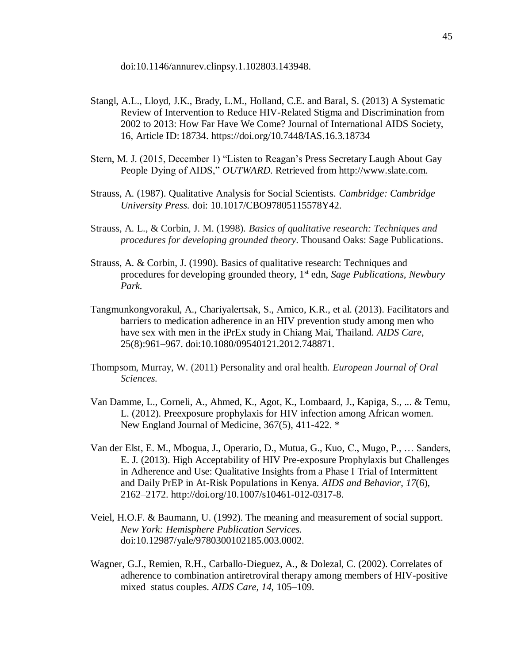doi:10.1146/annurev.clinpsy.1.102803.143948.

- Stangl, A.L., Lloyd, J.K., Brady, L.M., Holland, C.E. and Baral, S. (2013) A Systematic Review of Intervention to Reduce HIV-Related Stigma and Discrimination from 2002 to 2013: How Far Have We Come? Journal of International AIDS Society, 16, Article ID: 18734. https://doi.org/10.7448/IAS.16.3.18734
- Stern, M. J. (2015, December 1) "Listen to Reagan's Press Secretary Laugh About Gay People Dying of AIDS," *OUTWARD.* Retrieved from [http://www.slate.com.](http://www.slate.com/)
- Strauss, A. (1987). Qualitative Analysis for Social Scientists. *Cambridge: Cambridge University Press.* doi: 10.1017/CBO97805115578Y42.
- Strauss, A. L., & Corbin, J. M. (1998). *Basics of qualitative research: Techniques and procedures for developing grounded theory*. Thousand Oaks: Sage Publications.
- Strauss, A. & Corbin, J. (1990). Basics of qualitative research: Techniques and procedures for developing grounded theory, 1st edn, *Sage Publications, Newbury Park.*
- Tangmunkongvorakul, A., Chariyalertsak, S., Amico, K.R., et al. (2013). Facilitators and barriers to medication adherence in an HIV prevention study among men who have sex with men in the iPrEx study in Chiang Mai, Thailand. *AIDS Care*, 25(8):961–967. doi:10.1080/09540121.2012.748871.
- Thompsom, Murray, W. (2011) Personality and oral health. *European Journal of Oral Sciences.*
- Van Damme, L., Corneli, A., Ahmed, K., Agot, K., Lombaard, J., Kapiga, S., ... & Temu, L. (2012). Preexposure prophylaxis for HIV infection among African women. New England Journal of Medicine, 367(5), 411-422. \*
- Van der Elst, E. M., Mbogua, J., Operario, D., Mutua, G., Kuo, C., Mugo, P., … Sanders, E. J. (2013). High Acceptability of HIV Pre-exposure Prophylaxis but Challenges in Adherence and Use: Qualitative Insights from a Phase I Trial of Intermittent and Daily PrEP in At-Risk Populations in Kenya. *AIDS and Behavior*, *17*(6), 2162–2172. http://doi.org/10.1007/s10461-012-0317-8.
- Veiel, H.O.F. & Baumann, U. (1992). The meaning and measurement of social support. *New York: Hemisphere Publication Services.*  doi:10.12987/yale/9780300102185.003.0002.
- Wagner, G.J., Remien, R.H., Carballo-Dieguez, A., & Dolezal, C. (2002). Correlates of adherence to combination antiretroviral therapy among members of HIV-positive mixed status couples. *AIDS Care, 14,* 105–109.